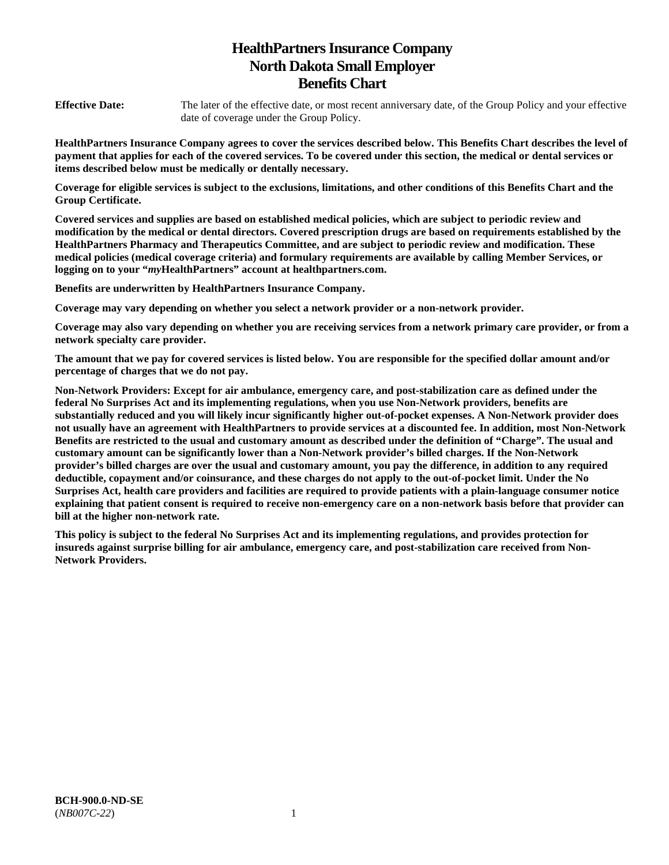# **HealthPartners Insurance Company North Dakota Small Employer Benefits Chart**

**Effective Date:** The later of the effective date, or most recent anniversary date, of the Group Policy and your effective date of coverage under the Group Policy.

**HealthPartners Insurance Company agrees to cover the services described below. This Benefits Chart describes the level of payment that applies for each of the covered services. To be covered under this section, the medical or dental services or items described below must be medically or dentally necessary.** 

**Coverage for eligible services is subject to the exclusions, limitations, and other conditions of this Benefits Chart and the Group Certificate.** 

**Covered services and supplies are based on established medical policies, which are subject to periodic review and modification by the medical or dental directors. Covered prescription drugs are based on requirements established by the HealthPartners Pharmacy and Therapeutics Committee, and are subject to periodic review and modification. These medical policies (medical coverage criteria) and formulary requirements are available by calling Member Services, or logging on to your "***my***HealthPartners" account at [healthpartners.com.](http://healthpartners.com/)** 

**Benefits are underwritten by HealthPartners Insurance Company.** 

**Coverage may vary depending on whether you select a network provider or a non-network provider.** 

**Coverage may also vary depending on whether you are receiving services from a network primary care provider, or from a network specialty care provider.**

**The amount that we pay for covered services is listed below. You are responsible for the specified dollar amount and/or percentage of charges that we do not pay.** 

**Non-Network Providers: Except for air ambulance, emergency care, and post-stabilization care as defined under the federal No Surprises Act and its implementing regulations, when you use Non-Network providers, benefits are substantially reduced and you will likely incur significantly higher out-of-pocket expenses. A Non-Network provider does not usually have an agreement with HealthPartners to provide services at a discounted fee. In addition, most Non-Network Benefits are restricted to the usual and customary amount as described under the definition of "Charge". The usual and customary amount can be significantly lower than a Non-Network provider's billed charges. If the Non-Network provider's billed charges are over the usual and customary amount, you pay the difference, in addition to any required deductible, copayment and/or coinsurance, and these charges do not apply to the out-of-pocket limit. Under the No Surprises Act, health care providers and facilities are required to provide patients with a plain-language consumer notice explaining that patient consent is required to receive non-emergency care on a non-network basis before that provider can bill at the higher non-network rate.** 

**This policy is subject to the federal No Surprises Act and its implementing regulations, and provides protection for insureds against surprise billing for air ambulance, emergency care, and post-stabilization care received from Non-Network Providers.**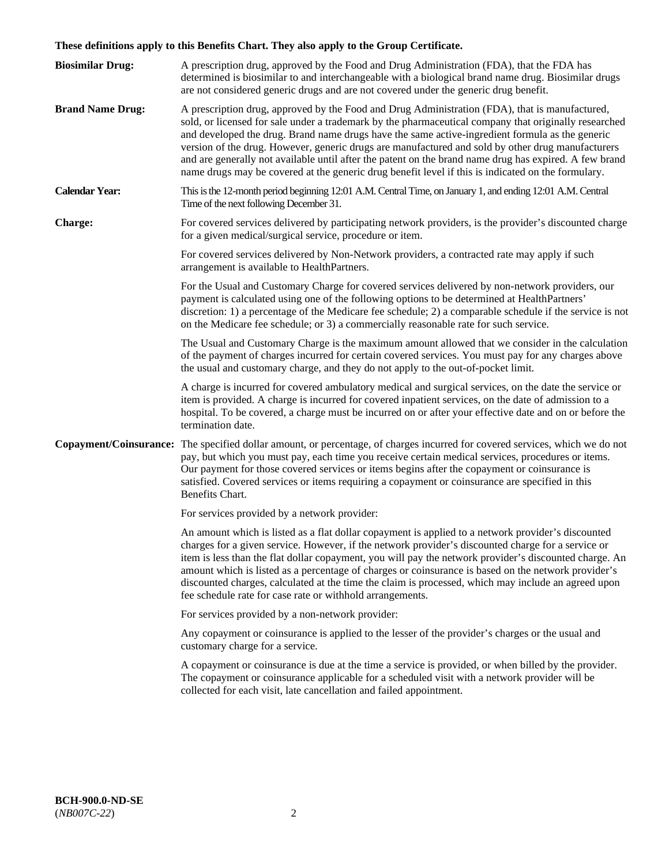# **These definitions apply to this Benefits Chart. They also apply to the Group Certificate.**

| <b>Biosimilar Drug:</b> | A prescription drug, approved by the Food and Drug Administration (FDA), that the FDA has<br>determined is biosimilar to and interchangeable with a biological brand name drug. Biosimilar drugs<br>are not considered generic drugs and are not covered under the generic drug benefit.                                                                                                                                                                                                                                                                                                                                        |
|-------------------------|---------------------------------------------------------------------------------------------------------------------------------------------------------------------------------------------------------------------------------------------------------------------------------------------------------------------------------------------------------------------------------------------------------------------------------------------------------------------------------------------------------------------------------------------------------------------------------------------------------------------------------|
| <b>Brand Name Drug:</b> | A prescription drug, approved by the Food and Drug Administration (FDA), that is manufactured,<br>sold, or licensed for sale under a trademark by the pharmaceutical company that originally researched<br>and developed the drug. Brand name drugs have the same active-ingredient formula as the generic<br>version of the drug. However, generic drugs are manufactured and sold by other drug manufacturers<br>and are generally not available until after the patent on the brand name drug has expired. A few brand<br>name drugs may be covered at the generic drug benefit level if this is indicated on the formulary. |
| <b>Calendar Year:</b>   | This is the 12-month period beginning 12:01 A.M. Central Time, on January 1, and ending 12:01 A.M. Central<br>Time of the next following December 31.                                                                                                                                                                                                                                                                                                                                                                                                                                                                           |
| <b>Charge:</b>          | For covered services delivered by participating network providers, is the provider's discounted charge<br>for a given medical/surgical service, procedure or item.                                                                                                                                                                                                                                                                                                                                                                                                                                                              |
|                         | For covered services delivered by Non-Network providers, a contracted rate may apply if such<br>arrangement is available to HealthPartners.                                                                                                                                                                                                                                                                                                                                                                                                                                                                                     |
|                         | For the Usual and Customary Charge for covered services delivered by non-network providers, our<br>payment is calculated using one of the following options to be determined at HealthPartners'<br>discretion: 1) a percentage of the Medicare fee schedule; 2) a comparable schedule if the service is not<br>on the Medicare fee schedule; or 3) a commercially reasonable rate for such service.                                                                                                                                                                                                                             |
|                         | The Usual and Customary Charge is the maximum amount allowed that we consider in the calculation<br>of the payment of charges incurred for certain covered services. You must pay for any charges above<br>the usual and customary charge, and they do not apply to the out-of-pocket limit.                                                                                                                                                                                                                                                                                                                                    |
|                         | A charge is incurred for covered ambulatory medical and surgical services, on the date the service or<br>item is provided. A charge is incurred for covered inpatient services, on the date of admission to a<br>hospital. To be covered, a charge must be incurred on or after your effective date and on or before the<br>termination date.                                                                                                                                                                                                                                                                                   |
|                         | Copayment/Coinsurance: The specified dollar amount, or percentage, of charges incurred for covered services, which we do not<br>pay, but which you must pay, each time you receive certain medical services, procedures or items.<br>Our payment for those covered services or items begins after the copayment or coinsurance is<br>satisfied. Covered services or items requiring a copayment or coinsurance are specified in this<br>Benefits Chart.                                                                                                                                                                         |
|                         | For services provided by a network provider:                                                                                                                                                                                                                                                                                                                                                                                                                                                                                                                                                                                    |
|                         | An amount which is listed as a flat dollar copayment is applied to a network provider's discounted<br>charges for a given service. However, if the network provider's discounted charge for a service or<br>item is less than the flat dollar copayment, you will pay the network provider's discounted charge. An<br>amount which is listed as a percentage of charges or coinsurance is based on the network provider's<br>discounted charges, calculated at the time the claim is processed, which may include an agreed upon<br>fee schedule rate for case rate or withhold arrangements.                                   |
|                         | For services provided by a non-network provider:                                                                                                                                                                                                                                                                                                                                                                                                                                                                                                                                                                                |
|                         | Any copayment or coinsurance is applied to the lesser of the provider's charges or the usual and<br>customary charge for a service.                                                                                                                                                                                                                                                                                                                                                                                                                                                                                             |
|                         | A copayment or coinsurance is due at the time a service is provided, or when billed by the provider.<br>The copayment or coinsurance applicable for a scheduled visit with a network provider will be<br>collected for each visit, late cancellation and failed appointment.                                                                                                                                                                                                                                                                                                                                                    |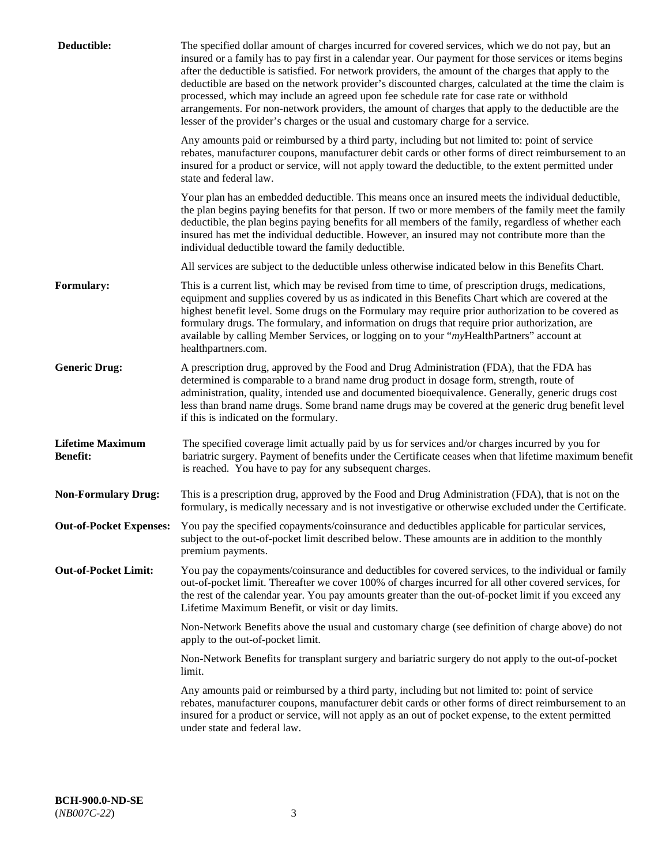| Deductible:                                | The specified dollar amount of charges incurred for covered services, which we do not pay, but an<br>insured or a family has to pay first in a calendar year. Our payment for those services or items begins<br>after the deductible is satisfied. For network providers, the amount of the charges that apply to the<br>deductible are based on the network provider's discounted charges, calculated at the time the claim is<br>processed, which may include an agreed upon fee schedule rate for case rate or withhold<br>arrangements. For non-network providers, the amount of charges that apply to the deductible are the<br>lesser of the provider's charges or the usual and customary charge for a service. |
|--------------------------------------------|------------------------------------------------------------------------------------------------------------------------------------------------------------------------------------------------------------------------------------------------------------------------------------------------------------------------------------------------------------------------------------------------------------------------------------------------------------------------------------------------------------------------------------------------------------------------------------------------------------------------------------------------------------------------------------------------------------------------|
|                                            | Any amounts paid or reimbursed by a third party, including but not limited to: point of service<br>rebates, manufacturer coupons, manufacturer debit cards or other forms of direct reimbursement to an<br>insured for a product or service, will not apply toward the deductible, to the extent permitted under<br>state and federal law.                                                                                                                                                                                                                                                                                                                                                                             |
|                                            | Your plan has an embedded deductible. This means once an insured meets the individual deductible,<br>the plan begins paying benefits for that person. If two or more members of the family meet the family<br>deductible, the plan begins paying benefits for all members of the family, regardless of whether each<br>insured has met the individual deductible. However, an insured may not contribute more than the<br>individual deductible toward the family deductible.                                                                                                                                                                                                                                          |
|                                            | All services are subject to the deductible unless otherwise indicated below in this Benefits Chart.                                                                                                                                                                                                                                                                                                                                                                                                                                                                                                                                                                                                                    |
| <b>Formulary:</b>                          | This is a current list, which may be revised from time to time, of prescription drugs, medications,<br>equipment and supplies covered by us as indicated in this Benefits Chart which are covered at the<br>highest benefit level. Some drugs on the Formulary may require prior authorization to be covered as<br>formulary drugs. The formulary, and information on drugs that require prior authorization, are<br>available by calling Member Services, or logging on to your "myHealthPartners" account at<br>healthpartners.com.                                                                                                                                                                                  |
| <b>Generic Drug:</b>                       | A prescription drug, approved by the Food and Drug Administration (FDA), that the FDA has<br>determined is comparable to a brand name drug product in dosage form, strength, route of<br>administration, quality, intended use and documented bioequivalence. Generally, generic drugs cost<br>less than brand name drugs. Some brand name drugs may be covered at the generic drug benefit level<br>if this is indicated on the formulary.                                                                                                                                                                                                                                                                            |
| <b>Lifetime Maximum</b><br><b>Benefit:</b> | The specified coverage limit actually paid by us for services and/or charges incurred by you for<br>bariatric surgery. Payment of benefits under the Certificate ceases when that lifetime maximum benefit<br>is reached. You have to pay for any subsequent charges.                                                                                                                                                                                                                                                                                                                                                                                                                                                  |
| <b>Non-Formulary Drug:</b>                 | This is a prescription drug, approved by the Food and Drug Administration (FDA), that is not on the<br>formulary, is medically necessary and is not investigative or otherwise excluded under the Certificate.                                                                                                                                                                                                                                                                                                                                                                                                                                                                                                         |
|                                            | Out-of-Pocket Expenses: You pay the specified copayments/coinsurance and deductibles applicable for particular services,<br>subject to the out-of-pocket limit described below. These amounts are in addition to the monthly<br>premium payments.                                                                                                                                                                                                                                                                                                                                                                                                                                                                      |
| <b>Out-of-Pocket Limit:</b>                | You pay the copayments/coinsurance and deductibles for covered services, to the individual or family<br>out-of-pocket limit. Thereafter we cover 100% of charges incurred for all other covered services, for<br>the rest of the calendar year. You pay amounts greater than the out-of-pocket limit if you exceed any<br>Lifetime Maximum Benefit, or visit or day limits.                                                                                                                                                                                                                                                                                                                                            |
|                                            | Non-Network Benefits above the usual and customary charge (see definition of charge above) do not<br>apply to the out-of-pocket limit.                                                                                                                                                                                                                                                                                                                                                                                                                                                                                                                                                                                 |
|                                            | Non-Network Benefits for transplant surgery and bariatric surgery do not apply to the out-of-pocket<br>limit.                                                                                                                                                                                                                                                                                                                                                                                                                                                                                                                                                                                                          |
|                                            | Any amounts paid or reimbursed by a third party, including but not limited to: point of service<br>rebates, manufacturer coupons, manufacturer debit cards or other forms of direct reimbursement to an<br>insured for a product or service, will not apply as an out of pocket expense, to the extent permitted<br>under state and federal law.                                                                                                                                                                                                                                                                                                                                                                       |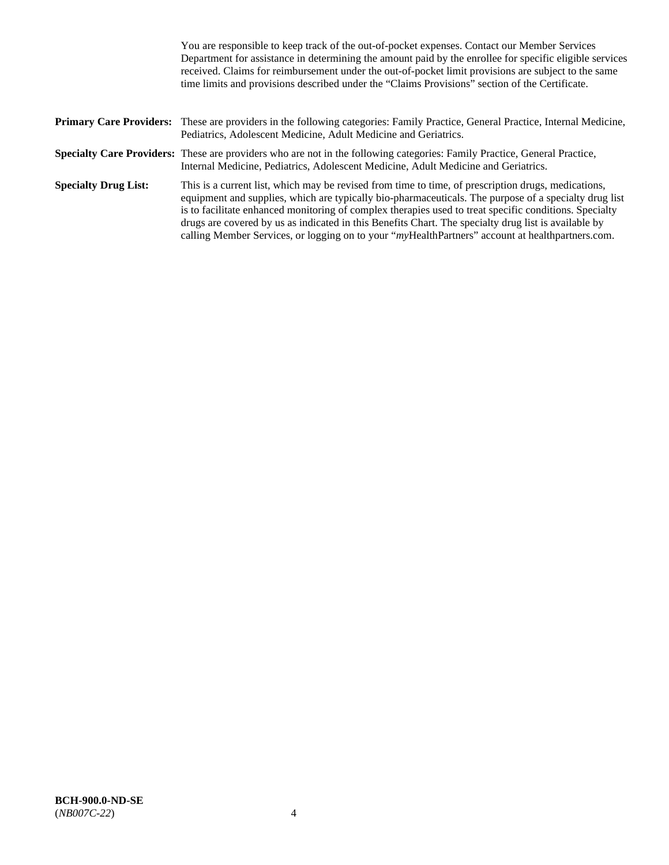|                             | You are responsible to keep track of the out-of-pocket expenses. Contact our Member Services<br>Department for assistance in determining the amount paid by the enrollee for specific eligible services<br>received. Claims for reimbursement under the out-of-pocket limit provisions are subject to the same<br>time limits and provisions described under the "Claims Provisions" section of the Certificate.                                                                                                                   |
|-----------------------------|------------------------------------------------------------------------------------------------------------------------------------------------------------------------------------------------------------------------------------------------------------------------------------------------------------------------------------------------------------------------------------------------------------------------------------------------------------------------------------------------------------------------------------|
|                             | <b>Primary Care Providers:</b> These are providers in the following categories: Family Practice, General Practice, Internal Medicine,<br>Pediatrics, Adolescent Medicine, Adult Medicine and Geriatrics.                                                                                                                                                                                                                                                                                                                           |
|                             | <b>Specialty Care Providers:</b> These are providers who are not in the following categories: Family Practice, General Practice,<br>Internal Medicine, Pediatrics, Adolescent Medicine, Adult Medicine and Geriatrics.                                                                                                                                                                                                                                                                                                             |
| <b>Specialty Drug List:</b> | This is a current list, which may be revised from time to time, of prescription drugs, medications,<br>equipment and supplies, which are typically bio-pharmaceuticals. The purpose of a specialty drug list<br>is to facilitate enhanced monitoring of complex therapies used to treat specific conditions. Specialty<br>drugs are covered by us as indicated in this Benefits Chart. The specialty drug list is available by<br>calling Member Services, or logging on to your "myHealthPartners" account at healthpartners.com. |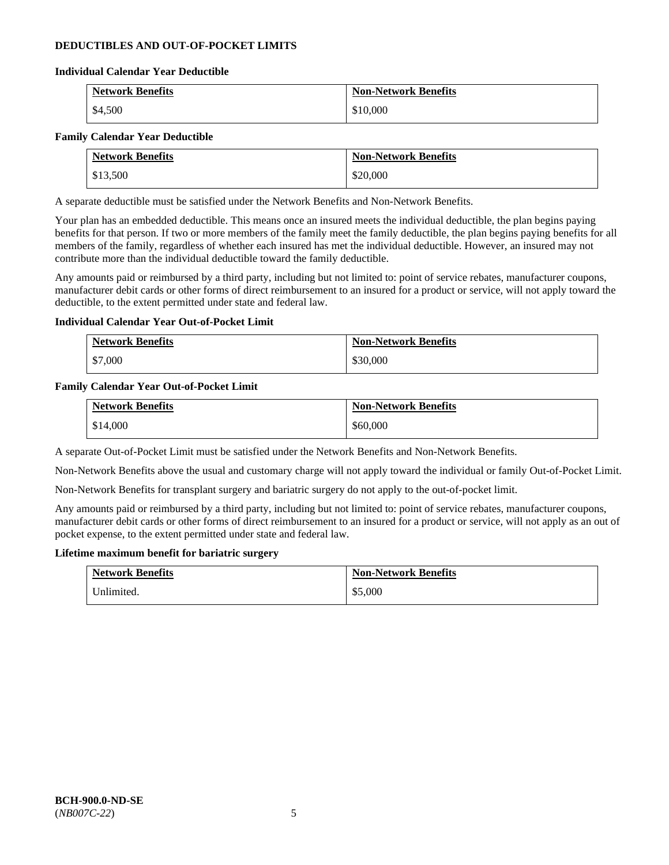### **DEDUCTIBLES AND OUT-OF-POCKET LIMITS**

### **Individual Calendar Year Deductible**

| <b>Network Benefits</b> | <b>Non-Network Benefits</b> |
|-------------------------|-----------------------------|
| \$4,500                 | \$10,000                    |

### **Family Calendar Year Deductible**

| <b>Network Benefits</b> | <b>Non-Network Benefits</b> |
|-------------------------|-----------------------------|
| \$13,500                | \$20,000                    |

A separate deductible must be satisfied under the Network Benefits and Non-Network Benefits.

Your plan has an embedded deductible. This means once an insured meets the individual deductible, the plan begins paying benefits for that person. If two or more members of the family meet the family deductible, the plan begins paying benefits for all members of the family, regardless of whether each insured has met the individual deductible. However, an insured may not contribute more than the individual deductible toward the family deductible.

Any amounts paid or reimbursed by a third party, including but not limited to: point of service rebates, manufacturer coupons, manufacturer debit cards or other forms of direct reimbursement to an insured for a product or service, will not apply toward the deductible, to the extent permitted under state and federal law.

### **Individual Calendar Year Out-of-Pocket Limit**

| <b>Network Benefits</b> | <b>Non-Network Benefits</b> |
|-------------------------|-----------------------------|
| \$7,000                 | \$30,000                    |

### **Family Calendar Year Out-of-Pocket Limit**

| <b>Network Benefits</b> | <b>Non-Network Benefits</b> |
|-------------------------|-----------------------------|
| \$14,000                | \$60,000                    |

A separate Out-of-Pocket Limit must be satisfied under the Network Benefits and Non-Network Benefits.

Non-Network Benefits above the usual and customary charge will not apply toward the individual or family Out-of-Pocket Limit.

Non-Network Benefits for transplant surgery and bariatric surgery do not apply to the out-of-pocket limit.

Any amounts paid or reimbursed by a third party, including but not limited to: point of service rebates, manufacturer coupons, manufacturer debit cards or other forms of direct reimbursement to an insured for a product or service, will not apply as an out of pocket expense, to the extent permitted under state and federal law.

#### **Lifetime maximum benefit for bariatric surgery**

| <b>Network Benefits</b> | <b>Non-Network Benefits</b> |
|-------------------------|-----------------------------|
| Inlimited.              | \$5,000                     |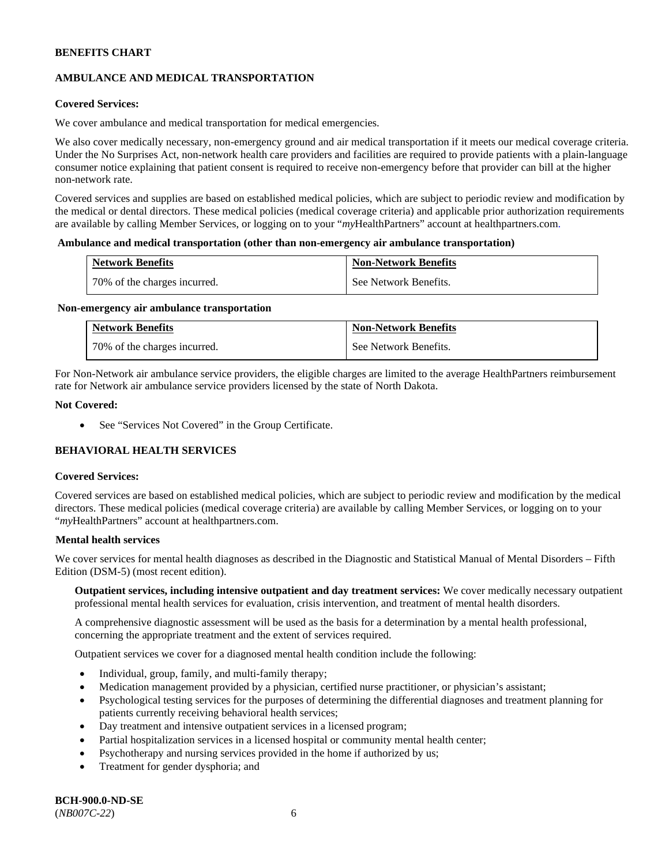## **AMBULANCE AND MEDICAL TRANSPORTATION**

### **Covered Services:**

We cover ambulance and medical transportation for medical emergencies.

We also cover medically necessary, non-emergency ground and air medical transportation if it meets our medical coverage criteria. Under the No Surprises Act, non-network health care providers and facilities are required to provide patients with a plain-language consumer notice explaining that patient consent is required to receive non-emergency before that provider can bill at the higher non-network rate.

Covered services and supplies are based on established medical policies, which are subject to periodic review and modification by the medical or dental directors. These medical policies (medical coverage criteria) and applicable prior authorization requirements are available by calling Member Services, or logging on to your "*my*HealthPartners" account a[t healthpartners.com.](http://www.healthpartners.com/)

#### **Ambulance and medical transportation (other than non-emergency air ambulance transportation)**

| <b>Network Benefits</b>      | <b>Non-Network Benefits</b> |
|------------------------------|-----------------------------|
| 70% of the charges incurred. | See Network Benefits.       |

#### **Non-emergency air ambulance transportation**

| <b>Network Benefits</b>      | <b>Non-Network Benefits</b> |
|------------------------------|-----------------------------|
| 70% of the charges incurred. | See Network Benefits.       |

For Non-Network air ambulance service providers, the eligible charges are limited to the average HealthPartners reimbursement rate for Network air ambulance service providers licensed by the state of North Dakota.

### **Not Covered:**

• See "Services Not Covered" in the Group Certificate.

## **BEHAVIORAL HEALTH SERVICES**

#### **Covered Services:**

Covered services are based on established medical policies, which are subject to periodic review and modification by the medical directors. These medical policies (medical coverage criteria) are available by calling Member Services, or logging on to your "*my*HealthPartners" account at [healthpartners.com.](http://healthpartners.com/)

### **Mental health services**

We cover services for mental health diagnoses as described in the Diagnostic and Statistical Manual of Mental Disorders - Fifth Edition (DSM-5) (most recent edition).

**Outpatient services, including intensive outpatient and day treatment services:** We cover medically necessary outpatient professional mental health services for evaluation, crisis intervention, and treatment of mental health disorders.

A comprehensive diagnostic assessment will be used as the basis for a determination by a mental health professional, concerning the appropriate treatment and the extent of services required.

Outpatient services we cover for a diagnosed mental health condition include the following:

- Individual, group, family, and multi-family therapy;
- Medication management provided by a physician, certified nurse practitioner, or physician's assistant;
- Psychological testing services for the purposes of determining the differential diagnoses and treatment planning for patients currently receiving behavioral health services;
- Day treatment and intensive outpatient services in a licensed program;
- Partial hospitalization services in a licensed hospital or community mental health center;
- Psychotherapy and nursing services provided in the home if authorized by us;
- Treatment for gender dysphoria; and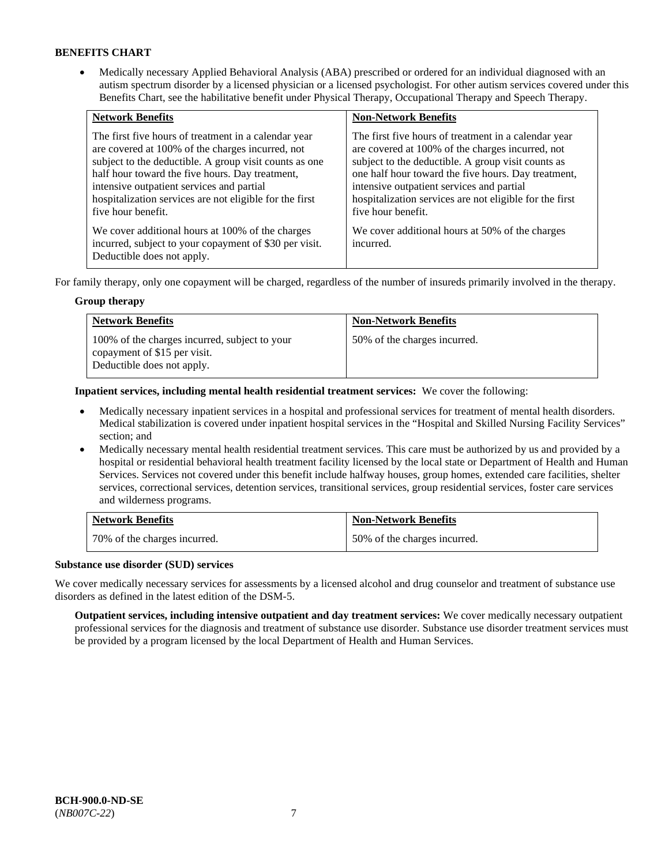• Medically necessary Applied Behavioral Analysis (ABA) prescribed or ordered for an individual diagnosed with an autism spectrum disorder by a licensed physician or a licensed psychologist. For other autism services covered under this Benefits Chart, see the habilitative benefit under Physical Therapy, Occupational Therapy and Speech Therapy.

| <b>Network Benefits</b>                                                                                                                                                                                                                                                                                                                             | <b>Non-Network Benefits</b>                                                                                                                                                                                                                                                                                                                         |
|-----------------------------------------------------------------------------------------------------------------------------------------------------------------------------------------------------------------------------------------------------------------------------------------------------------------------------------------------------|-----------------------------------------------------------------------------------------------------------------------------------------------------------------------------------------------------------------------------------------------------------------------------------------------------------------------------------------------------|
| The first five hours of treatment in a calendar year<br>are covered at 100% of the charges incurred, not<br>subject to the deductible. A group visit counts as one<br>half hour toward the five hours. Day treatment,<br>intensive outpatient services and partial<br>hospitalization services are not eligible for the first<br>five hour benefit. | The first five hours of treatment in a calendar year<br>are covered at 100% of the charges incurred, not<br>subject to the deductible. A group visit counts as<br>one half hour toward the five hours. Day treatment,<br>intensive outpatient services and partial<br>hospitalization services are not eligible for the first<br>five hour benefit. |
| We cover additional hours at 100% of the charges<br>incurred, subject to your copayment of \$30 per visit.<br>Deductible does not apply.                                                                                                                                                                                                            | We cover additional hours at 50% of the charges<br>incurred.                                                                                                                                                                                                                                                                                        |

For family therapy, only one copayment will be charged, regardless of the number of insureds primarily involved in the therapy.

### **Group therapy**

| <b>Network Benefits</b>                                                                                     | <b>Non-Network Benefits</b>  |
|-------------------------------------------------------------------------------------------------------------|------------------------------|
| 100% of the charges incurred, subject to your<br>copayment of \$15 per visit.<br>Deductible does not apply. | 50% of the charges incurred. |

**Inpatient services, including mental health residential treatment services:** We cover the following:

- Medically necessary inpatient services in a hospital and professional services for treatment of mental health disorders. Medical stabilization is covered under inpatient hospital services in the "Hospital and Skilled Nursing Facility Services" section; and
- Medically necessary mental health residential treatment services. This care must be authorized by us and provided by a hospital or residential behavioral health treatment facility licensed by the local state or Department of Health and Human Services. Services not covered under this benefit include halfway houses, group homes, extended care facilities, shelter services, correctional services, detention services, transitional services, group residential services, foster care services and wilderness programs.

| <b>Network Benefits</b>      | <b>Non-Network Benefits</b>  |
|------------------------------|------------------------------|
| 70% of the charges incurred. | 50% of the charges incurred. |

### **Substance use disorder (SUD) services**

We cover medically necessary services for assessments by a licensed alcohol and drug counselor and treatment of substance use disorders as defined in the latest edition of the DSM-5.

**Outpatient services, including intensive outpatient and day treatment services:** We cover medically necessary outpatient professional services for the diagnosis and treatment of substance use disorder. Substance use disorder treatment services must be provided by a program licensed by the local Department of Health and Human Services.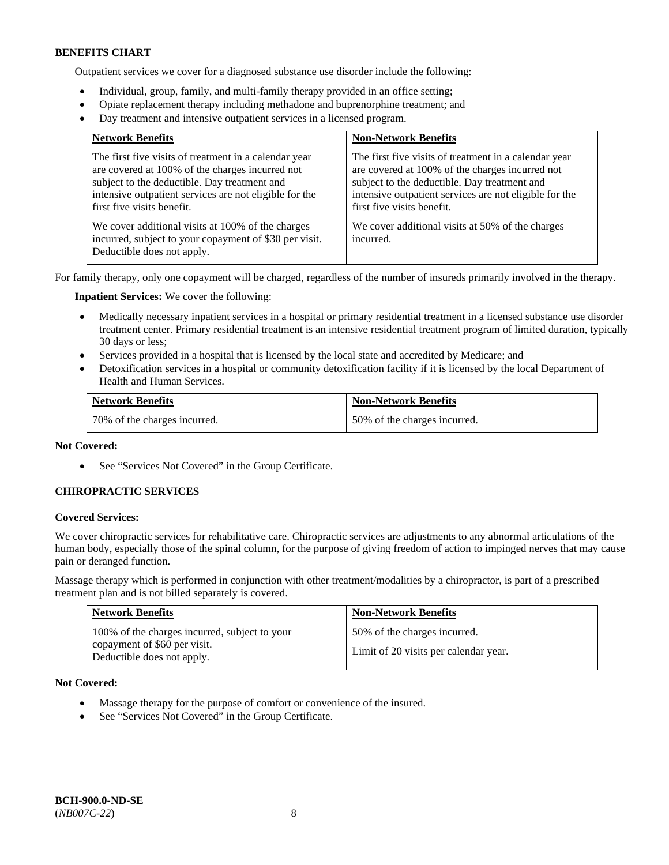Outpatient services we cover for a diagnosed substance use disorder include the following:

- Individual, group, family, and multi-family therapy provided in an office setting;
- Opiate replacement therapy including methadone and buprenorphine treatment; and
- Day treatment and intensive outpatient services in a licensed program.

| <b>Network Benefits</b>                                                                                                                                                                                                                          | <b>Non-Network Benefits</b>                                                                                                                                                                                                                      |
|--------------------------------------------------------------------------------------------------------------------------------------------------------------------------------------------------------------------------------------------------|--------------------------------------------------------------------------------------------------------------------------------------------------------------------------------------------------------------------------------------------------|
| The first five visits of treatment in a calendar year<br>are covered at 100% of the charges incurred not<br>subject to the deductible. Day treatment and<br>intensive outpatient services are not eligible for the<br>first five visits benefit. | The first five visits of treatment in a calendar year<br>are covered at 100% of the charges incurred not<br>subject to the deductible. Day treatment and<br>intensive outpatient services are not eligible for the<br>first five visits benefit. |
| We cover additional visits at 100% of the charges<br>incurred, subject to your copayment of \$30 per visit.<br>Deductible does not apply.                                                                                                        | We cover additional visits at 50% of the charges<br>incurred.                                                                                                                                                                                    |

For family therapy, only one copayment will be charged, regardless of the number of insureds primarily involved in the therapy.

**Inpatient Services:** We cover the following:

- Medically necessary inpatient services in a hospital or primary residential treatment in a licensed substance use disorder treatment center. Primary residential treatment is an intensive residential treatment program of limited duration, typically 30 days or less;
- Services provided in a hospital that is licensed by the local state and accredited by Medicare; and
- Detoxification services in a hospital or community detoxification facility if it is licensed by the local Department of Health and Human Services.

| <b>Network Benefits</b>      | <b>Non-Network Benefits</b>  |
|------------------------------|------------------------------|
| 70% of the charges incurred. | 50% of the charges incurred. |

### **Not Covered:**

• See "Services Not Covered" in the Group Certificate.

### **CHIROPRACTIC SERVICES**

#### **Covered Services:**

We cover chiropractic services for rehabilitative care. Chiropractic services are adjustments to any abnormal articulations of the human body, especially those of the spinal column, for the purpose of giving freedom of action to impinged nerves that may cause pain or deranged function.

Massage therapy which is performed in conjunction with other treatment/modalities by a chiropractor, is part of a prescribed treatment plan and is not billed separately is covered.

| <b>Network Benefits</b>                                                                                     | <b>Non-Network Benefits</b>                                           |
|-------------------------------------------------------------------------------------------------------------|-----------------------------------------------------------------------|
| 100% of the charges incurred, subject to your<br>copayment of \$60 per visit.<br>Deductible does not apply. | 50% of the charges incurred.<br>Limit of 20 visits per calendar year. |

**Not Covered:** 

- Massage therapy for the purpose of comfort or convenience of the insured.
- See "Services Not Covered" in the Group Certificate.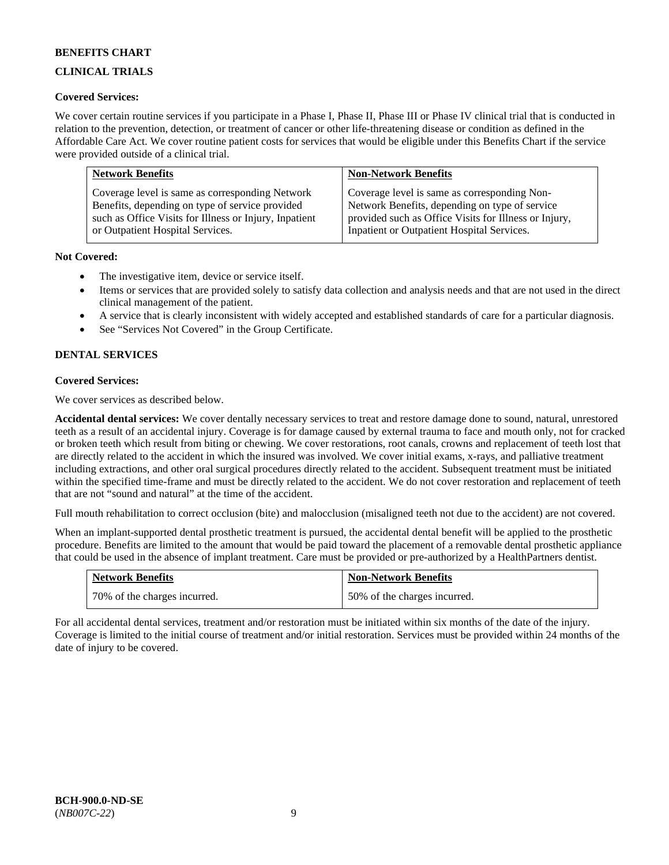## **CLINICAL TRIALS**

### **Covered Services:**

We cover certain routine services if you participate in a Phase I, Phase II, Phase III or Phase IV clinical trial that is conducted in relation to the prevention, detection, or treatment of cancer or other life-threatening disease or condition as defined in the Affordable Care Act. We cover routine patient costs for services that would be eligible under this Benefits Chart if the service were provided outside of a clinical trial.

| <b>Network Benefits</b>                                | <b>Non-Network Benefits</b>                           |
|--------------------------------------------------------|-------------------------------------------------------|
| Coverage level is same as corresponding Network        | Coverage level is same as corresponding Non-          |
| Benefits, depending on type of service provided        | Network Benefits, depending on type of service        |
| such as Office Visits for Illness or Injury, Inpatient | provided such as Office Visits for Illness or Injury, |
| or Outpatient Hospital Services.                       | Inpatient or Outpatient Hospital Services.            |

### **Not Covered:**

- The investigative item, device or service itself.
- Items or services that are provided solely to satisfy data collection and analysis needs and that are not used in the direct clinical management of the patient.
- A service that is clearly inconsistent with widely accepted and established standards of care for a particular diagnosis.
- See "Services Not Covered" in the Group Certificate.

## **DENTAL SERVICES**

### **Covered Services:**

We cover services as described below.

**Accidental dental services:** We cover dentally necessary services to treat and restore damage done to sound, natural, unrestored teeth as a result of an accidental injury. Coverage is for damage caused by external trauma to face and mouth only, not for cracked or broken teeth which result from biting or chewing. We cover restorations, root canals, crowns and replacement of teeth lost that are directly related to the accident in which the insured was involved. We cover initial exams, x-rays, and palliative treatment including extractions, and other oral surgical procedures directly related to the accident. Subsequent treatment must be initiated within the specified time-frame and must be directly related to the accident. We do not cover restoration and replacement of teeth that are not "sound and natural" at the time of the accident.

Full mouth rehabilitation to correct occlusion (bite) and malocclusion (misaligned teeth not due to the accident) are not covered.

When an implant-supported dental prosthetic treatment is pursued, the accidental dental benefit will be applied to the prosthetic procedure. Benefits are limited to the amount that would be paid toward the placement of a removable dental prosthetic appliance that could be used in the absence of implant treatment. Care must be provided or pre-authorized by a HealthPartners dentist.

| <b>Network Benefits</b>      | <b>Non-Network Benefits</b>  |
|------------------------------|------------------------------|
| 70% of the charges incurred. | 50% of the charges incurred. |

For all accidental dental services, treatment and/or restoration must be initiated within six months of the date of the injury. Coverage is limited to the initial course of treatment and/or initial restoration. Services must be provided within 24 months of the date of injury to be covered.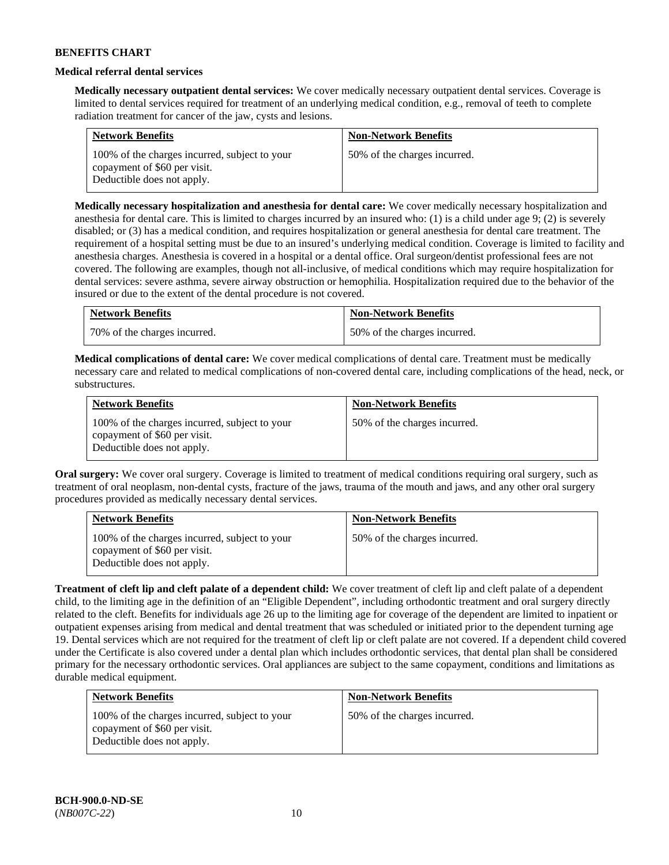### **Medical referral dental services**

**Medically necessary outpatient dental services:** We cover medically necessary outpatient dental services. Coverage is limited to dental services required for treatment of an underlying medical condition, e.g., removal of teeth to complete radiation treatment for cancer of the jaw, cysts and lesions.

| <b>Network Benefits</b>                                                                                     | <b>Non-Network Benefits</b>  |
|-------------------------------------------------------------------------------------------------------------|------------------------------|
| 100% of the charges incurred, subject to your<br>copayment of \$60 per visit.<br>Deductible does not apply. | 50% of the charges incurred. |

**Medically necessary hospitalization and anesthesia for dental care:** We cover medically necessary hospitalization and anesthesia for dental care. This is limited to charges incurred by an insured who: (1) is a child under age 9; (2) is severely disabled; or (3) has a medical condition, and requires hospitalization or general anesthesia for dental care treatment. The requirement of a hospital setting must be due to an insured's underlying medical condition. Coverage is limited to facility and anesthesia charges. Anesthesia is covered in a hospital or a dental office. Oral surgeon/dentist professional fees are not covered. The following are examples, though not all-inclusive, of medical conditions which may require hospitalization for dental services: severe asthma, severe airway obstruction or hemophilia. Hospitalization required due to the behavior of the insured or due to the extent of the dental procedure is not covered.

| <b>Network Benefits</b>      | <b>Non-Network Benefits</b>  |
|------------------------------|------------------------------|
| 70% of the charges incurred. | 50% of the charges incurred. |

**Medical complications of dental care:** We cover medical complications of dental care. Treatment must be medically necessary care and related to medical complications of non-covered dental care, including complications of the head, neck, or substructures.

| <b>Network Benefits</b>                                                                                     | <b>Non-Network Benefits</b>  |
|-------------------------------------------------------------------------------------------------------------|------------------------------|
| 100% of the charges incurred, subject to your<br>copayment of \$60 per visit.<br>Deductible does not apply. | 50% of the charges incurred. |

**Oral surgery:** We cover oral surgery. Coverage is limited to treatment of medical conditions requiring oral surgery, such as treatment of oral neoplasm, non-dental cysts, fracture of the jaws, trauma of the mouth and jaws, and any other oral surgery procedures provided as medically necessary dental services.

| <b>Network Benefits</b>                                                                                     | <b>Non-Network Benefits</b>  |
|-------------------------------------------------------------------------------------------------------------|------------------------------|
| 100% of the charges incurred, subject to your<br>copayment of \$60 per visit.<br>Deductible does not apply. | 50% of the charges incurred. |

**Treatment of cleft lip and cleft palate of a dependent child:** We cover treatment of cleft lip and cleft palate of a dependent child, to the limiting age in the definition of an "Eligible Dependent", including orthodontic treatment and oral surgery directly related to the cleft. Benefits for individuals age 26 up to the limiting age for coverage of the dependent are limited to inpatient or outpatient expenses arising from medical and dental treatment that was scheduled or initiated prior to the dependent turning age 19. Dental services which are not required for the treatment of cleft lip or cleft palate are not covered. If a dependent child covered under the Certificate is also covered under a dental plan which includes orthodontic services, that dental plan shall be considered primary for the necessary orthodontic services. Oral appliances are subject to the same copayment, conditions and limitations as durable medical equipment.

| <b>Network Benefits</b>                                                                                     | <b>Non-Network Benefits</b>  |
|-------------------------------------------------------------------------------------------------------------|------------------------------|
| 100% of the charges incurred, subject to your<br>copayment of \$60 per visit.<br>Deductible does not apply. | 50% of the charges incurred. |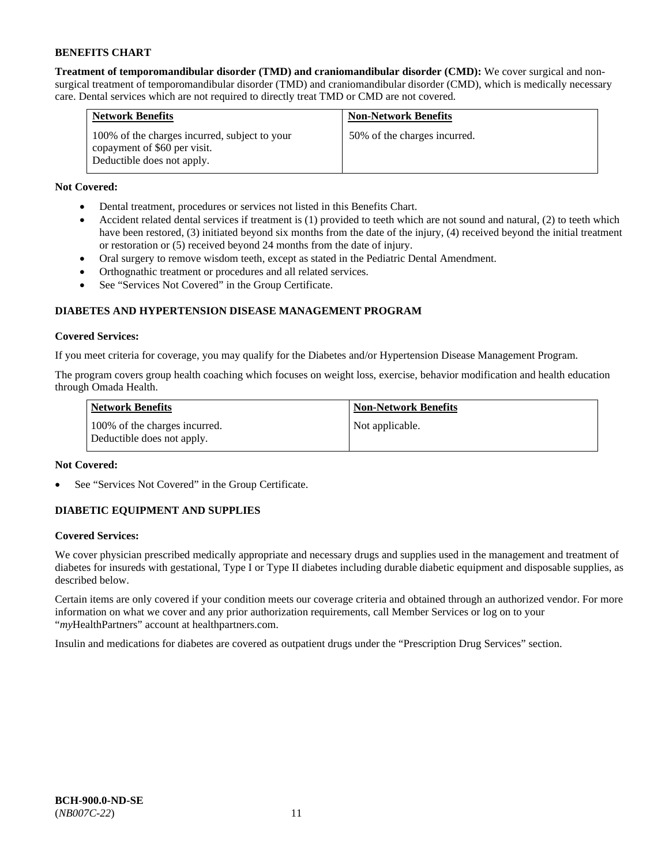**Treatment of temporomandibular disorder (TMD) and craniomandibular disorder (CMD):** We cover surgical and nonsurgical treatment of temporomandibular disorder (TMD) and craniomandibular disorder (CMD), which is medically necessary care. Dental services which are not required to directly treat TMD or CMD are not covered.

| <b>Network Benefits</b>                                                                                     | <b>Non-Network Benefits</b>  |
|-------------------------------------------------------------------------------------------------------------|------------------------------|
| 100% of the charges incurred, subject to your<br>copayment of \$60 per visit.<br>Deductible does not apply. | 50% of the charges incurred. |

## **Not Covered:**

- Dental treatment, procedures or services not listed in this Benefits Chart.
- Accident related dental services if treatment is (1) provided to teeth which are not sound and natural, (2) to teeth which have been restored, (3) initiated beyond six months from the date of the injury, (4) received beyond the initial treatment or restoration or (5) received beyond 24 months from the date of injury.
- Oral surgery to remove wisdom teeth, except as stated in the Pediatric Dental Amendment.
- Orthognathic treatment or procedures and all related services.
- See "Services Not Covered" in the Group Certificate.

## **DIABETES AND HYPERTENSION DISEASE MANAGEMENT PROGRAM**

### **Covered Services:**

If you meet criteria for coverage, you may qualify for the Diabetes and/or Hypertension Disease Management Program.

The program covers group health coaching which focuses on weight loss, exercise, behavior modification and health education through Omada Health.

| <b>Network Benefits</b>                                     | <b>Non-Network Benefits</b> |
|-------------------------------------------------------------|-----------------------------|
| 100% of the charges incurred.<br>Deductible does not apply. | Not applicable.             |

### **Not Covered:**

See "Services Not Covered" in the Group Certificate.

## **DIABETIC EQUIPMENT AND SUPPLIES**

### **Covered Services:**

We cover physician prescribed medically appropriate and necessary drugs and supplies used in the management and treatment of diabetes for insureds with gestational, Type I or Type II diabetes including durable diabetic equipment and disposable supplies, as described below.

Certain items are only covered if your condition meets our coverage criteria and obtained through an authorized vendor. For more information on what we cover and any prior authorization requirements, call Member Services or log on to your "*my*HealthPartners" account at [healthpartners.com.](http://www.healthpartners.com/)

Insulin and medications for diabetes are covered as outpatient drugs under the "Prescription Drug Services" section.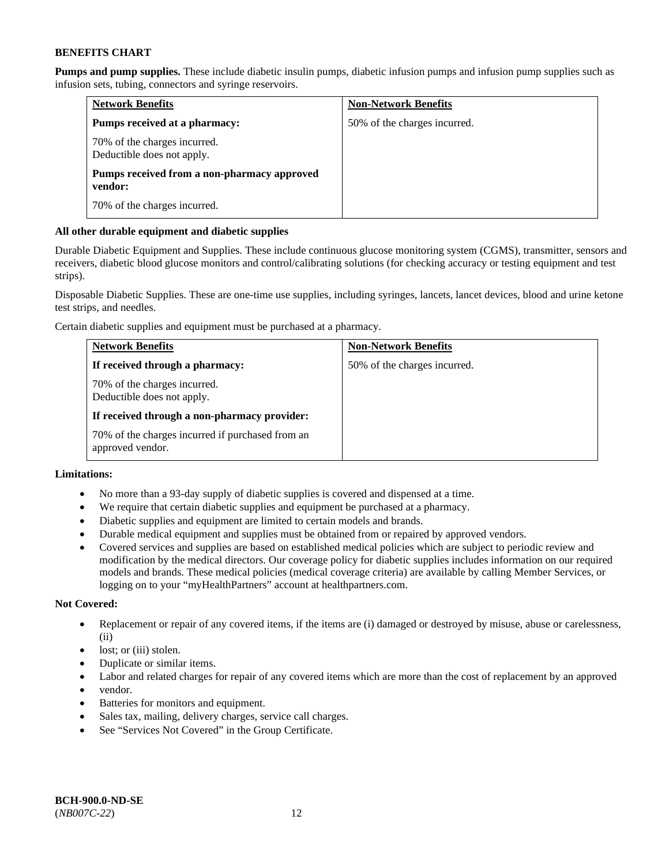**Pumps and pump supplies.** These include diabetic insulin pumps, diabetic infusion pumps and infusion pump supplies such as infusion sets, tubing, connectors and syringe reservoirs.

| <b>Network Benefits</b>                                    | <b>Non-Network Benefits</b>  |
|------------------------------------------------------------|------------------------------|
| Pumps received at a pharmacy:                              | 50% of the charges incurred. |
| 70% of the charges incurred.<br>Deductible does not apply. |                              |
| Pumps received from a non-pharmacy approved<br>vendor:     |                              |
| 70% of the charges incurred.                               |                              |

### **All other durable equipment and diabetic supplies**

Durable Diabetic Equipment and Supplies. These include continuous glucose monitoring system (CGMS), transmitter, sensors and receivers, diabetic blood glucose monitors and control/calibrating solutions (for checking accuracy or testing equipment and test strips).

Disposable Diabetic Supplies. These are one-time use supplies, including syringes, lancets, lancet devices, blood and urine ketone test strips, and needles.

Certain diabetic supplies and equipment must be purchased at a pharmacy.

| <b>Network Benefits</b>                                              | <b>Non-Network Benefits</b>  |
|----------------------------------------------------------------------|------------------------------|
| If received through a pharmacy:                                      | 50% of the charges incurred. |
| 70% of the charges incurred.<br>Deductible does not apply.           |                              |
| If received through a non-pharmacy provider:                         |                              |
| 70% of the charges incurred if purchased from an<br>approved vendor. |                              |

## **Limitations:**

- No more than a 93-day supply of diabetic supplies is covered and dispensed at a time.
- We require that certain diabetic supplies and equipment be purchased at a pharmacy.
- Diabetic supplies and equipment are limited to certain models and brands.
- Durable medical equipment and supplies must be obtained from or repaired by approved vendors.
- Covered services and supplies are based on established medical policies which are subject to periodic review and modification by the medical directors. Our coverage policy for diabetic supplies includes information on our required models and brands. These medical policies (medical coverage criteria) are available by calling Member Services, or logging on to your "myHealthPartners" account a[t healthpartners.com.](http://www.healthpartners.com/)

### **Not Covered:**

- Replacement or repair of any covered items, if the items are (i) damaged or destroyed by misuse, abuse or carelessness, (ii)
- lost; or (iii) stolen.
- Duplicate or similar items.
- Labor and related charges for repair of any covered items which are more than the cost of replacement by an approved
- vendor.
- Batteries for monitors and equipment.
- Sales tax, mailing, delivery charges, service call charges.
- See "Services Not Covered" in the Group Certificate.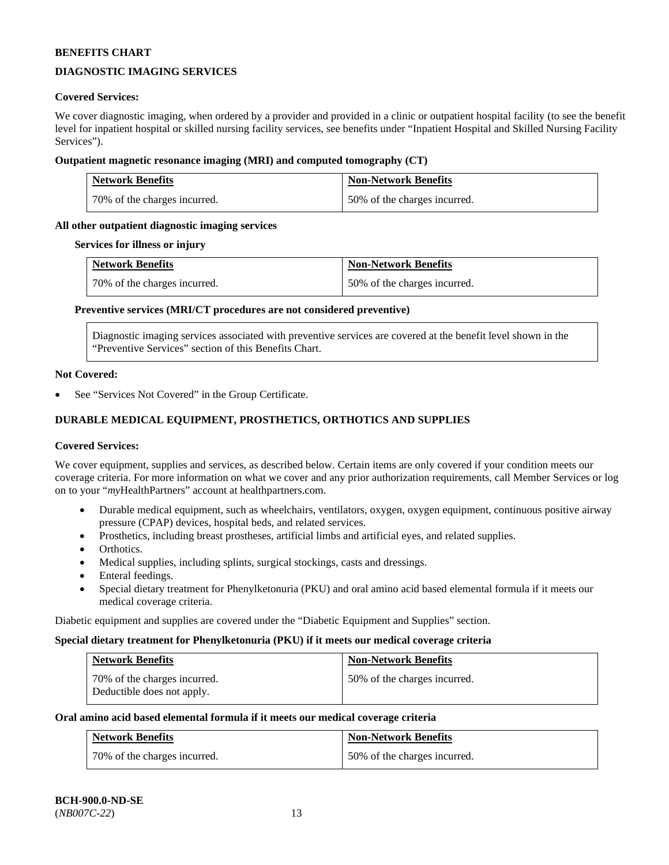## **DIAGNOSTIC IMAGING SERVICES**

### **Covered Services:**

We cover diagnostic imaging, when ordered by a provider and provided in a clinic or outpatient hospital facility (to see the benefit level for inpatient hospital or skilled nursing facility services, see benefits under "Inpatient Hospital and Skilled Nursing Facility Services").

### **Outpatient magnetic resonance imaging (MRI) and computed tomography (CT)**

| <b>Network Benefits</b>      | <b>Non-Network Benefits</b>  |
|------------------------------|------------------------------|
| 70% of the charges incurred. | 50% of the charges incurred. |

### **All other outpatient diagnostic imaging services**

#### **Services for illness or injury**

| <b>Network Benefits</b>      | <b>Non-Network Benefits</b>  |
|------------------------------|------------------------------|
| 70% of the charges incurred. | 50% of the charges incurred. |

### **Preventive services (MRI/CT procedures are not considered preventive)**

Diagnostic imaging services associated with preventive services are covered at the benefit level shown in the "Preventive Services" section of this Benefits Chart.

#### **Not Covered:**

See "Services Not Covered" in the Group Certificate.

## **DURABLE MEDICAL EQUIPMENT, PROSTHETICS, ORTHOTICS AND SUPPLIES**

#### **Covered Services:**

We cover equipment, supplies and services, as described below. Certain items are only covered if your condition meets our coverage criteria. For more information on what we cover and any prior authorization requirements, call Member Services or log on to your "*my*HealthPartners" account at [healthpartners.com.](http://www.healthpartners.com/)

- Durable medical equipment, such as wheelchairs, ventilators, oxygen, oxygen equipment, continuous positive airway pressure (CPAP) devices, hospital beds, and related services.
- Prosthetics, including breast prostheses, artificial limbs and artificial eyes, and related supplies.
- Orthotics.
- Medical supplies, including splints, surgical stockings, casts and dressings.
- Enteral feedings.
- Special dietary treatment for Phenylketonuria (PKU) and oral amino acid based elemental formula if it meets our medical coverage criteria.

Diabetic equipment and supplies are covered under the "Diabetic Equipment and Supplies" section.

#### **Special dietary treatment for Phenylketonuria (PKU) if it meets our medical coverage criteria**

| Network Benefits                                           | <b>Non-Network Benefits</b>  |
|------------------------------------------------------------|------------------------------|
| 70% of the charges incurred.<br>Deductible does not apply. | 50% of the charges incurred. |

#### **Oral amino acid based elemental formula if it meets our medical coverage criteria**

| <b>Network Benefits</b>      | <b>Non-Network Benefits</b>  |
|------------------------------|------------------------------|
| 70% of the charges incurred. | 50% of the charges incurred. |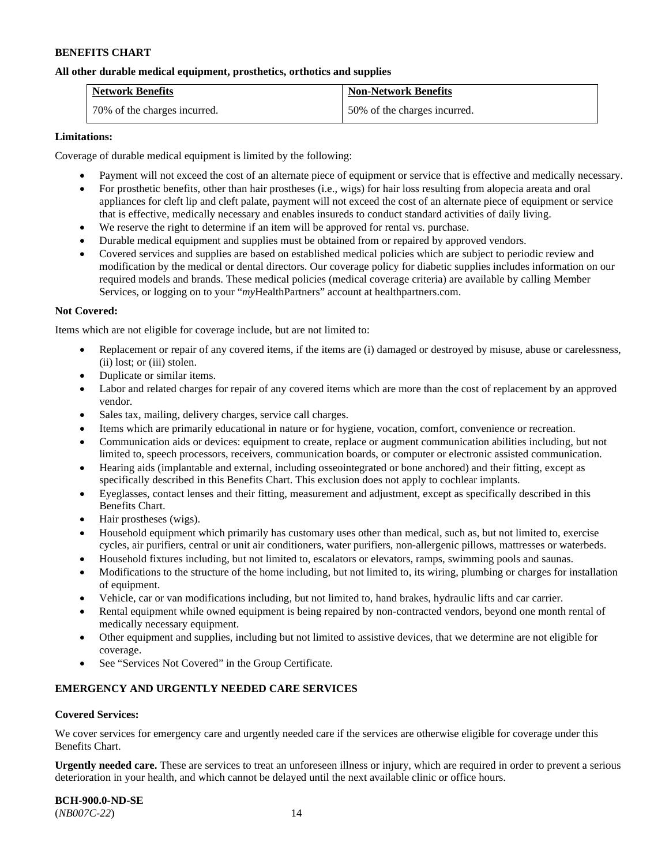### **All other durable medical equipment, prosthetics, orthotics and supplies**

| <b>Network Benefits</b>      | <b>Non-Network Benefits</b>  |
|------------------------------|------------------------------|
| 70% of the charges incurred. | 50% of the charges incurred. |

### **Limitations:**

Coverage of durable medical equipment is limited by the following:

- Payment will not exceed the cost of an alternate piece of equipment or service that is effective and medically necessary.
- For prosthetic benefits, other than hair prostheses (i.e., wigs) for hair loss resulting from alopecia areata and oral appliances for cleft lip and cleft palate, payment will not exceed the cost of an alternate piece of equipment or service that is effective, medically necessary and enables insureds to conduct standard activities of daily living.
- We reserve the right to determine if an item will be approved for rental vs. purchase.
- Durable medical equipment and supplies must be obtained from or repaired by approved vendors.
- Covered services and supplies are based on established medical policies which are subject to periodic review and modification by the medical or dental directors. Our coverage policy for diabetic supplies includes information on our required models and brands. These medical policies (medical coverage criteria) are available by calling Member Services, or logging on to your "*my*HealthPartners" account at [healthpartners.com.](http://www.healthpartners.com/)

### **Not Covered:**

Items which are not eligible for coverage include, but are not limited to:

- Replacement or repair of any covered items, if the items are (i) damaged or destroyed by misuse, abuse or carelessness, (ii) lost; or (iii) stolen.
- Duplicate or similar items.
- Labor and related charges for repair of any covered items which are more than the cost of replacement by an approved vendor.
- Sales tax, mailing, delivery charges, service call charges.
- Items which are primarily educational in nature or for hygiene, vocation, comfort, convenience or recreation.
- Communication aids or devices: equipment to create, replace or augment communication abilities including, but not limited to, speech processors, receivers, communication boards, or computer or electronic assisted communication.
- Hearing aids (implantable and external, including osseointegrated or bone anchored) and their fitting, except as specifically described in this Benefits Chart. This exclusion does not apply to cochlear implants.
- Eyeglasses, contact lenses and their fitting, measurement and adjustment, except as specifically described in this Benefits Chart.
- Hair prostheses (wigs).
- Household equipment which primarily has customary uses other than medical, such as, but not limited to, exercise cycles, air purifiers, central or unit air conditioners, water purifiers, non-allergenic pillows, mattresses or waterbeds.
- Household fixtures including, but not limited to, escalators or elevators, ramps, swimming pools and saunas.
- Modifications to the structure of the home including, but not limited to, its wiring, plumbing or charges for installation of equipment.
- Vehicle, car or van modifications including, but not limited to, hand brakes, hydraulic lifts and car carrier.
- Rental equipment while owned equipment is being repaired by non-contracted vendors, beyond one month rental of medically necessary equipment.
- Other equipment and supplies, including but not limited to assistive devices, that we determine are not eligible for coverage.
- See "Services Not Covered" in the Group Certificate.

### **EMERGENCY AND URGENTLY NEEDED CARE SERVICES**

#### **Covered Services:**

We cover services for emergency care and urgently needed care if the services are otherwise eligible for coverage under this Benefits Chart.

**Urgently needed care.** These are services to treat an unforeseen illness or injury, which are required in order to prevent a serious deterioration in your health, and which cannot be delayed until the next available clinic or office hours.

**BCH-900.0-ND-SE** (*NB007C-22*) 14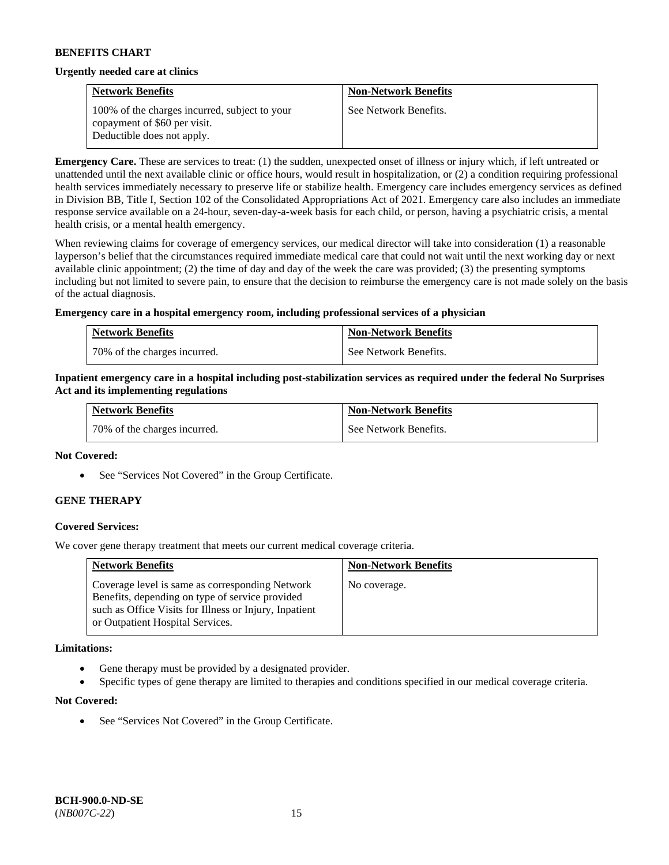#### **Urgently needed care at clinics**

| <b>Network Benefits</b>                                                                                     | <b>Non-Network Benefits</b> |
|-------------------------------------------------------------------------------------------------------------|-----------------------------|
| 100% of the charges incurred, subject to your<br>copayment of \$60 per visit.<br>Deductible does not apply. | See Network Benefits.       |

**Emergency Care.** These are services to treat: (1) the sudden, unexpected onset of illness or injury which, if left untreated or unattended until the next available clinic or office hours, would result in hospitalization, or (2) a condition requiring professional health services immediately necessary to preserve life or stabilize health. Emergency care includes emergency services as defined in Division BB, Title I, Section 102 of the Consolidated Appropriations Act of 2021. Emergency care also includes an immediate response service available on a 24-hour, seven-day-a-week basis for each child, or person, having a psychiatric crisis, a mental health crisis, or a mental health emergency.

When reviewing claims for coverage of emergency services, our medical director will take into consideration (1) a reasonable layperson's belief that the circumstances required immediate medical care that could not wait until the next working day or next available clinic appointment; (2) the time of day and day of the week the care was provided; (3) the presenting symptoms including but not limited to severe pain, to ensure that the decision to reimburse the emergency care is not made solely on the basis of the actual diagnosis.

### **Emergency care in a hospital emergency room, including professional services of a physician**

| <b>Network Benefits</b>        | <b>Non-Network Benefits</b> |
|--------------------------------|-----------------------------|
| 1 70% of the charges incurred. | See Network Benefits.       |

### **Inpatient emergency care in a hospital including post-stabilization services as required under the federal No Surprises Act and its implementing regulations**

| <b>Network Benefits</b>      | <b>Non-Network Benefits</b> |
|------------------------------|-----------------------------|
| 70% of the charges incurred. | See Network Benefits.       |

#### **Not Covered:**

• See "Services Not Covered" in the Group Certificate.

### **GENE THERAPY**

### **Covered Services:**

We cover gene therapy treatment that meets our current medical coverage criteria.

| <b>Network Benefits</b>                                                                                                                                                                          | <b>Non-Network Benefits</b> |
|--------------------------------------------------------------------------------------------------------------------------------------------------------------------------------------------------|-----------------------------|
| Coverage level is same as corresponding Network<br>Benefits, depending on type of service provided<br>such as Office Visits for Illness or Injury, Inpatient<br>or Outpatient Hospital Services. | No coverage.                |

#### **Limitations:**

- Gene therapy must be provided by a designated provider.
- Specific types of gene therapy are limited to therapies and conditions specified in our medical coverage criteria.

#### **Not Covered:**

See "Services Not Covered" in the Group Certificate.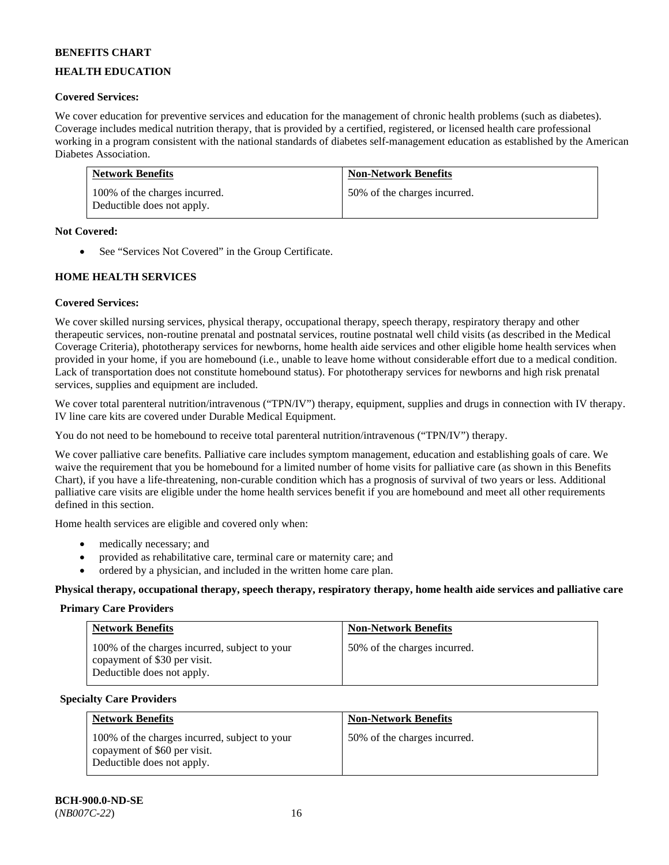## **HEALTH EDUCATION**

## **Covered Services:**

We cover education for preventive services and education for the management of chronic health problems (such as diabetes). Coverage includes medical nutrition therapy, that is provided by a certified, registered, or licensed health care professional working in a program consistent with the national standards of diabetes self-management education as established by the American Diabetes Association.

| <b>Network Benefits</b>                                     | <b>Non-Network Benefits</b>  |
|-------------------------------------------------------------|------------------------------|
| 100% of the charges incurred.<br>Deductible does not apply. | 50% of the charges incurred. |

### **Not Covered:**

• See "Services Not Covered" in the Group Certificate.

### **HOME HEALTH SERVICES**

### **Covered Services:**

We cover skilled nursing services, physical therapy, occupational therapy, speech therapy, respiratory therapy and other therapeutic services, non-routine prenatal and postnatal services, routine postnatal well child visits (as described in the Medical Coverage Criteria), phototherapy services for newborns, home health aide services and other eligible home health services when provided in your home, if you are homebound (i.e., unable to leave home without considerable effort due to a medical condition. Lack of transportation does not constitute homebound status). For phototherapy services for newborns and high risk prenatal services, supplies and equipment are included.

We cover total parenteral nutrition/intravenous ("TPN/IV") therapy, equipment, supplies and drugs in connection with IV therapy. IV line care kits are covered under Durable Medical Equipment.

You do not need to be homebound to receive total parenteral nutrition/intravenous ("TPN/IV") therapy.

We cover palliative care benefits. Palliative care includes symptom management, education and establishing goals of care. We waive the requirement that you be homebound for a limited number of home visits for palliative care (as shown in this Benefits Chart), if you have a life-threatening, non-curable condition which has a prognosis of survival of two years or less. Additional palliative care visits are eligible under the home health services benefit if you are homebound and meet all other requirements defined in this section.

Home health services are eligible and covered only when:

- medically necessary; and
- provided as rehabilitative care, terminal care or maternity care; and
- ordered by a physician, and included in the written home care plan.

**Physical therapy, occupational therapy, speech therapy, respiratory therapy, home health aide services and palliative care**

#### **Primary Care Providers**

| <b>Network Benefits</b>                                                                                     | <b>Non-Network Benefits</b>  |
|-------------------------------------------------------------------------------------------------------------|------------------------------|
| 100% of the charges incurred, subject to your<br>copayment of \$30 per visit.<br>Deductible does not apply. | 50% of the charges incurred. |

#### **Specialty Care Providers**

| <b>Network Benefits</b>                                                                                     | <b>Non-Network Benefits</b>  |
|-------------------------------------------------------------------------------------------------------------|------------------------------|
| 100% of the charges incurred, subject to your<br>copayment of \$60 per visit.<br>Deductible does not apply. | 50% of the charges incurred. |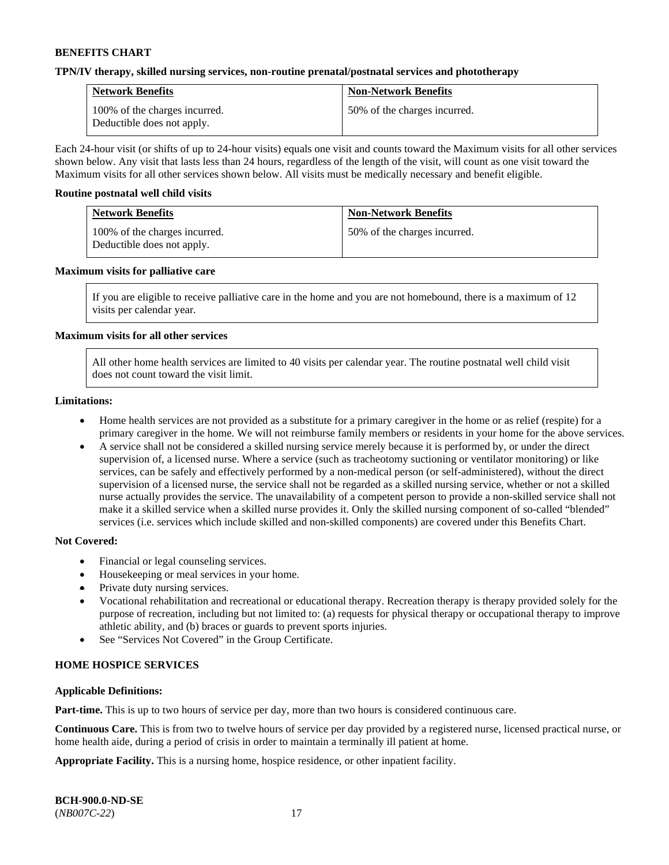### **TPN/IV therapy, skilled nursing services, non-routine prenatal/postnatal services and phototherapy**

| <b>Network Benefits</b>                                     | <b>Non-Network Benefits</b>  |
|-------------------------------------------------------------|------------------------------|
| 100% of the charges incurred.<br>Deductible does not apply. | 50% of the charges incurred. |

Each 24-hour visit (or shifts of up to 24-hour visits) equals one visit and counts toward the Maximum visits for all other services shown below. Any visit that lasts less than 24 hours, regardless of the length of the visit, will count as one visit toward the Maximum visits for all other services shown below. All visits must be medically necessary and benefit eligible.

#### **Routine postnatal well child visits**

| <b>Network Benefits</b>                                     | <b>Non-Network Benefits</b>  |
|-------------------------------------------------------------|------------------------------|
| 100% of the charges incurred.<br>Deductible does not apply. | 50% of the charges incurred. |

### **Maximum visits for palliative care**

If you are eligible to receive palliative care in the home and you are not homebound, there is a maximum of 12 visits per calendar year.

### **Maximum visits for all other services**

All other home health services are limited to 40 visits per calendar year. The routine postnatal well child visit does not count toward the visit limit.

#### **Limitations:**

- Home health services are not provided as a substitute for a primary caregiver in the home or as relief (respite) for a primary caregiver in the home. We will not reimburse family members or residents in your home for the above services.
- A service shall not be considered a skilled nursing service merely because it is performed by, or under the direct supervision of, a licensed nurse. Where a service (such as tracheotomy suctioning or ventilator monitoring) or like services, can be safely and effectively performed by a non-medical person (or self-administered), without the direct supervision of a licensed nurse, the service shall not be regarded as a skilled nursing service, whether or not a skilled nurse actually provides the service. The unavailability of a competent person to provide a non-skilled service shall not make it a skilled service when a skilled nurse provides it. Only the skilled nursing component of so-called "blended" services (i.e. services which include skilled and non-skilled components) are covered under this Benefits Chart.

#### **Not Covered:**

- Financial or legal counseling services.
- Housekeeping or meal services in your home.
- Private duty nursing services.
- Vocational rehabilitation and recreational or educational therapy. Recreation therapy is therapy provided solely for the purpose of recreation, including but not limited to: (a) requests for physical therapy or occupational therapy to improve athletic ability, and (b) braces or guards to prevent sports injuries.
- See "Services Not Covered" in the Group Certificate.

### **HOME HOSPICE SERVICES**

#### **Applicable Definitions:**

**Part-time.** This is up to two hours of service per day, more than two hours is considered continuous care.

**Continuous Care.** This is from two to twelve hours of service per day provided by a registered nurse, licensed practical nurse, or home health aide, during a period of crisis in order to maintain a terminally ill patient at home.

**Appropriate Facility.** This is a nursing home, hospice residence, or other inpatient facility.

| <b>BCH-900.0-ND-SE</b> |  |
|------------------------|--|
| $(NB007C-22)$          |  |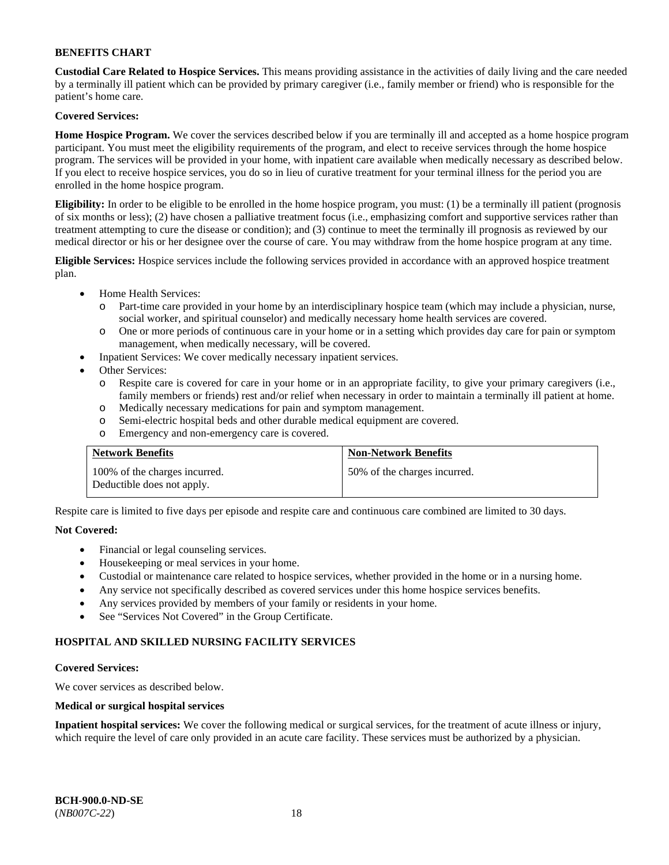**Custodial Care Related to Hospice Services.** This means providing assistance in the activities of daily living and the care needed by a terminally ill patient which can be provided by primary caregiver (i.e., family member or friend) who is responsible for the patient's home care.

## **Covered Services:**

**Home Hospice Program.** We cover the services described below if you are terminally ill and accepted as a home hospice program participant. You must meet the eligibility requirements of the program, and elect to receive services through the home hospice program. The services will be provided in your home, with inpatient care available when medically necessary as described below. If you elect to receive hospice services, you do so in lieu of curative treatment for your terminal illness for the period you are enrolled in the home hospice program.

**Eligibility:** In order to be eligible to be enrolled in the home hospice program, you must: (1) be a terminally ill patient (prognosis of six months or less); (2) have chosen a palliative treatment focus (i.e., emphasizing comfort and supportive services rather than treatment attempting to cure the disease or condition); and (3) continue to meet the terminally ill prognosis as reviewed by our medical director or his or her designee over the course of care. You may withdraw from the home hospice program at any time.

**Eligible Services:** Hospice services include the following services provided in accordance with an approved hospice treatment plan.

- Home Health Services:
	- o Part-time care provided in your home by an interdisciplinary hospice team (which may include a physician, nurse, social worker, and spiritual counselor) and medically necessary home health services are covered.
	- o One or more periods of continuous care in your home or in a setting which provides day care for pain or symptom management, when medically necessary, will be covered.
	- Inpatient Services: We cover medically necessary inpatient services.
- Other Services:
	- o Respite care is covered for care in your home or in an appropriate facility, to give your primary caregivers (i.e., family members or friends) rest and/or relief when necessary in order to maintain a terminally ill patient at home.
	- o Medically necessary medications for pain and symptom management.
	- o Semi-electric hospital beds and other durable medical equipment are covered.
	- o Emergency and non-emergency care is covered.

| <b>Network Benefits</b>                                     | <b>Non-Network Benefits</b>  |
|-------------------------------------------------------------|------------------------------|
| 100% of the charges incurred.<br>Deductible does not apply. | 50% of the charges incurred. |

Respite care is limited to five days per episode and respite care and continuous care combined are limited to 30 days.

### **Not Covered:**

- Financial or legal counseling services.
- Housekeeping or meal services in your home.
- Custodial or maintenance care related to hospice services, whether provided in the home or in a nursing home.
- Any service not specifically described as covered services under this home hospice services benefits.
- Any services provided by members of your family or residents in your home.
- See "Services Not Covered" in the Group Certificate.

### **HOSPITAL AND SKILLED NURSING FACILITY SERVICES**

#### **Covered Services:**

We cover services as described below.

### **Medical or surgical hospital services**

**Inpatient hospital services:** We cover the following medical or surgical services, for the treatment of acute illness or injury, which require the level of care only provided in an acute care facility. These services must be authorized by a physician.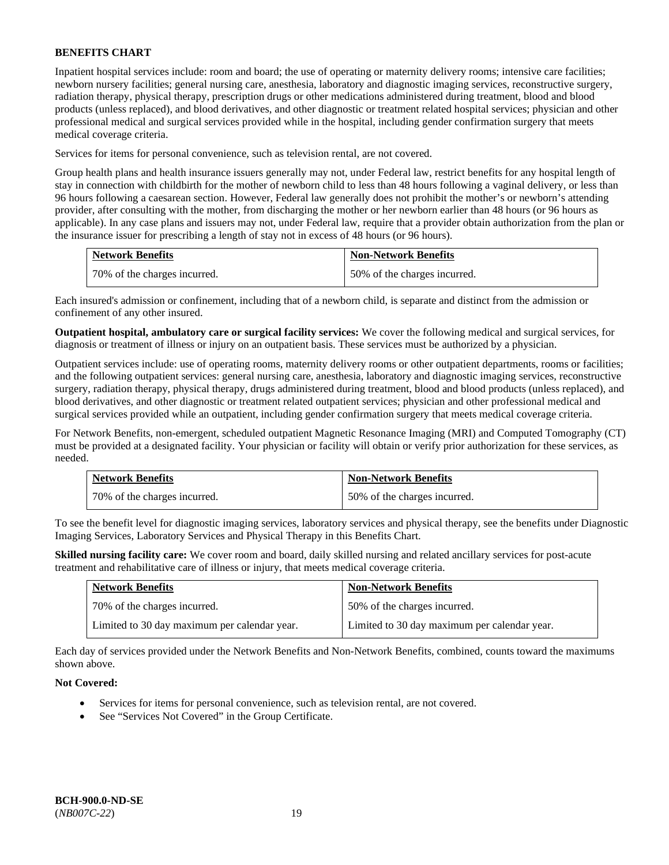Inpatient hospital services include: room and board; the use of operating or maternity delivery rooms; intensive care facilities; newborn nursery facilities; general nursing care, anesthesia, laboratory and diagnostic imaging services, reconstructive surgery, radiation therapy, physical therapy, prescription drugs or other medications administered during treatment, blood and blood products (unless replaced), and blood derivatives, and other diagnostic or treatment related hospital services; physician and other professional medical and surgical services provided while in the hospital, including gender confirmation surgery that meets medical coverage criteria.

Services for items for personal convenience, such as television rental, are not covered.

Group health plans and health insurance issuers generally may not, under Federal law, restrict benefits for any hospital length of stay in connection with childbirth for the mother of newborn child to less than 48 hours following a vaginal delivery, or less than 96 hours following a caesarean section. However, Federal law generally does not prohibit the mother's or newborn's attending provider, after consulting with the mother, from discharging the mother or her newborn earlier than 48 hours (or 96 hours as applicable). In any case plans and issuers may not, under Federal law, require that a provider obtain authorization from the plan or the insurance issuer for prescribing a length of stay not in excess of 48 hours (or 96 hours).

| <b>Network Benefits</b>      | <b>Non-Network Benefits</b>  |
|------------------------------|------------------------------|
| 70% of the charges incurred. | 50% of the charges incurred. |

Each insured's admission or confinement, including that of a newborn child, is separate and distinct from the admission or confinement of any other insured.

**Outpatient hospital, ambulatory care or surgical facility services:** We cover the following medical and surgical services, for diagnosis or treatment of illness or injury on an outpatient basis. These services must be authorized by a physician.

Outpatient services include: use of operating rooms, maternity delivery rooms or other outpatient departments, rooms or facilities; and the following outpatient services: general nursing care, anesthesia, laboratory and diagnostic imaging services, reconstructive surgery, radiation therapy, physical therapy, drugs administered during treatment, blood and blood products (unless replaced), and blood derivatives, and other diagnostic or treatment related outpatient services; physician and other professional medical and surgical services provided while an outpatient, including gender confirmation surgery that meets medical coverage criteria.

For Network Benefits, non-emergent, scheduled outpatient Magnetic Resonance Imaging (MRI) and Computed Tomography (CT) must be provided at a designated facility. Your physician or facility will obtain or verify prior authorization for these services, as needed.

| <b>Network Benefits</b>      | <b>Non-Network Benefits</b>  |
|------------------------------|------------------------------|
| 70% of the charges incurred. | 50% of the charges incurred. |

To see the benefit level for diagnostic imaging services, laboratory services and physical therapy, see the benefits under Diagnostic Imaging Services, Laboratory Services and Physical Therapy in this Benefits Chart.

**Skilled nursing facility care:** We cover room and board, daily skilled nursing and related ancillary services for post-acute treatment and rehabilitative care of illness or injury, that meets medical coverage criteria.

| <b>Network Benefits</b>                      | <b>Non-Network Benefits</b>                  |
|----------------------------------------------|----------------------------------------------|
| 70% of the charges incurred.                 | 50% of the charges incurred.                 |
| Limited to 30 day maximum per calendar year. | Limited to 30 day maximum per calendar year. |

Each day of services provided under the Network Benefits and Non-Network Benefits, combined, counts toward the maximums shown above.

### **Not Covered:**

- Services for items for personal convenience, such as television rental, are not covered.
- See "Services Not Covered" in the Group Certificate.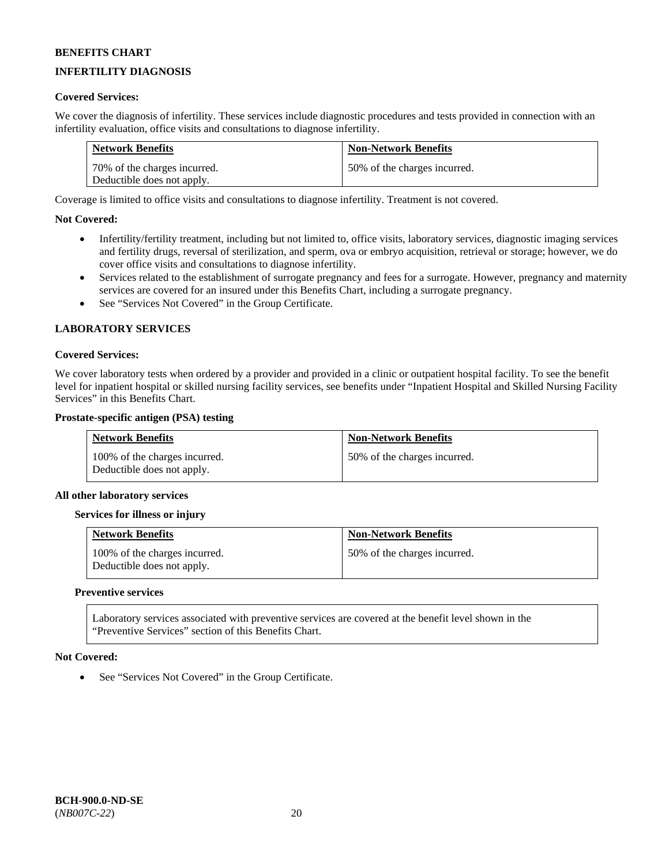## **INFERTILITY DIAGNOSIS**

### **Covered Services:**

We cover the diagnosis of infertility. These services include diagnostic procedures and tests provided in connection with an infertility evaluation, office visits and consultations to diagnose infertility.

| <b>Network Benefits</b>      | <b>Non-Network Benefits</b>  |
|------------------------------|------------------------------|
| 70% of the charges incurred. | 50% of the charges incurred. |
| Deductible does not apply.   |                              |

Coverage is limited to office visits and consultations to diagnose infertility. Treatment is not covered.

### **Not Covered:**

- Infertility/fertility treatment, including but not limited to, office visits, laboratory services, diagnostic imaging services and fertility drugs, reversal of sterilization, and sperm, ova or embryo acquisition, retrieval or storage; however, we do cover office visits and consultations to diagnose infertility.
- Services related to the establishment of surrogate pregnancy and fees for a surrogate. However, pregnancy and maternity services are covered for an insured under this Benefits Chart, including a surrogate pregnancy.
- See "Services Not Covered" in the Group Certificate.

### **LABORATORY SERVICES**

#### **Covered Services:**

We cover laboratory tests when ordered by a provider and provided in a clinic or outpatient hospital facility. To see the benefit level for inpatient hospital or skilled nursing facility services, see benefits under "Inpatient Hospital and Skilled Nursing Facility Services" in this Benefits Chart.

#### **Prostate-specific antigen (PSA) testing**

| <b>Network Benefits</b>                                     | <b>Non-Network Benefits</b>  |
|-------------------------------------------------------------|------------------------------|
| 100% of the charges incurred.<br>Deductible does not apply. | 50% of the charges incurred. |

#### **All other laboratory services**

#### **Services for illness or injury**

| <b>Network Benefits</b>                                     | <b>Non-Network Benefits</b>  |
|-------------------------------------------------------------|------------------------------|
| 100% of the charges incurred.<br>Deductible does not apply. | 50% of the charges incurred. |

#### **Preventive services**

Laboratory services associated with preventive services are covered at the benefit level shown in the "Preventive Services" section of this Benefits Chart.

#### **Not Covered:**

See "Services Not Covered" in the Group Certificate.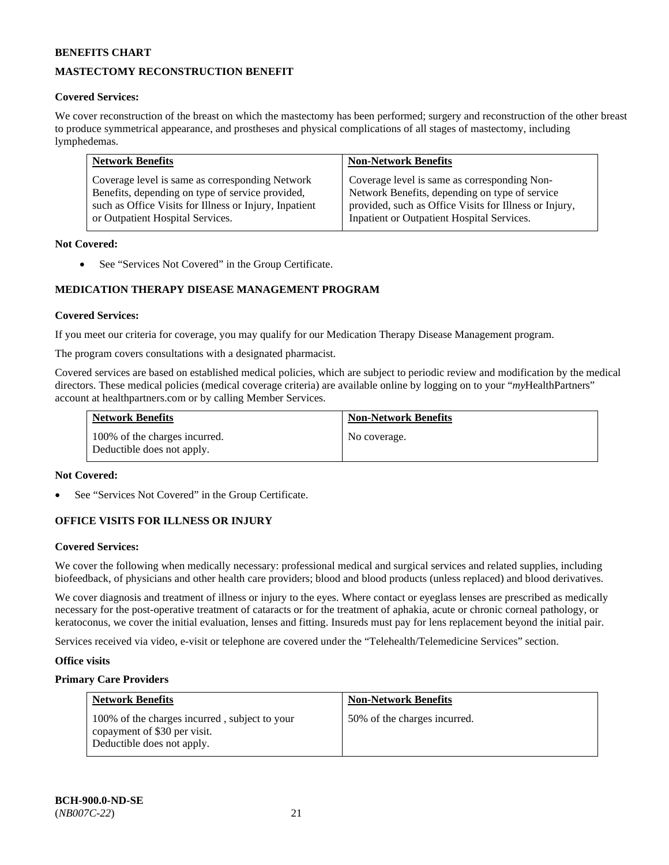## **MASTECTOMY RECONSTRUCTION BENEFIT**

### **Covered Services:**

We cover reconstruction of the breast on which the mastectomy has been performed; surgery and reconstruction of the other breast to produce symmetrical appearance, and prostheses and physical complications of all stages of mastectomy, including lymphedemas.

| <b>Network Benefits</b>                                | <b>Non-Network Benefits</b>                            |
|--------------------------------------------------------|--------------------------------------------------------|
| Coverage level is same as corresponding Network        | Coverage level is same as corresponding Non-           |
| Benefits, depending on type of service provided,       | Network Benefits, depending on type of service         |
| such as Office Visits for Illness or Injury, Inpatient | provided, such as Office Visits for Illness or Injury, |
| or Outpatient Hospital Services.                       | Inpatient or Outpatient Hospital Services.             |

### **Not Covered:**

• See "Services Not Covered" in the Group Certificate.

## **MEDICATION THERAPY DISEASE MANAGEMENT PROGRAM**

### **Covered Services:**

If you meet our criteria for coverage, you may qualify for our Medication Therapy Disease Management program.

The program covers consultations with a designated pharmacist.

Covered services are based on established medical policies, which are subject to periodic review and modification by the medical directors. These medical policies (medical coverage criteria) are available online by logging on to your "*my*HealthPartners" account a[t healthpartners.com](http://www.healthpartners.com/) or by calling Member Services.

| <b>Network Benefits</b>                                     | <b>Non-Network Benefits</b> |
|-------------------------------------------------------------|-----------------------------|
| 100% of the charges incurred.<br>Deductible does not apply. | No coverage.                |

#### **Not Covered:**

See "Services Not Covered" in the Group Certificate.

### **OFFICE VISITS FOR ILLNESS OR INJURY**

#### **Covered Services:**

We cover the following when medically necessary: professional medical and surgical services and related supplies, including biofeedback, of physicians and other health care providers; blood and blood products (unless replaced) and blood derivatives.

We cover diagnosis and treatment of illness or injury to the eyes. Where contact or eyeglass lenses are prescribed as medically necessary for the post-operative treatment of cataracts or for the treatment of aphakia, acute or chronic corneal pathology, or keratoconus, we cover the initial evaluation, lenses and fitting. Insureds must pay for lens replacement beyond the initial pair.

Services received via video, e-visit or telephone are covered under the "Telehealth/Telemedicine Services" section.

#### **Office visits**

### **Primary Care Providers**

| <b>Network Benefits</b>                                                                                     | <b>Non-Network Benefits</b>  |
|-------------------------------------------------------------------------------------------------------------|------------------------------|
| 100% of the charges incurred, subject to your<br>copayment of \$30 per visit.<br>Deductible does not apply. | 50% of the charges incurred. |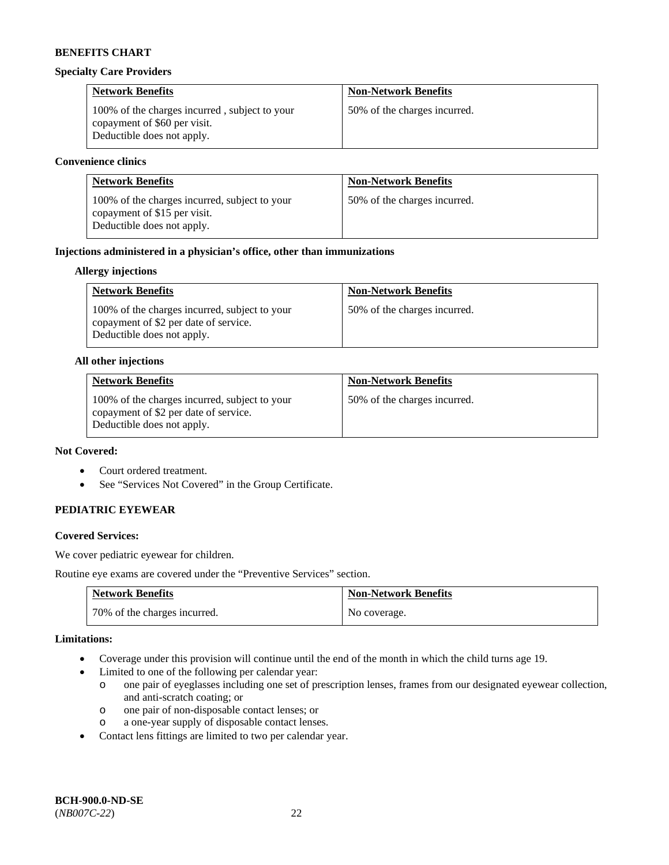#### **Specialty Care Providers**

| <b>Network Benefits</b>                                                                                     | <b>Non-Network Benefits</b>  |
|-------------------------------------------------------------------------------------------------------------|------------------------------|
| 100% of the charges incurred, subject to your<br>copayment of \$60 per visit.<br>Deductible does not apply. | 50% of the charges incurred. |

#### **Convenience clinics**

| <b>Network Benefits</b>                                                                                     | <b>Non-Network Benefits</b>  |
|-------------------------------------------------------------------------------------------------------------|------------------------------|
| 100% of the charges incurred, subject to your<br>copayment of \$15 per visit.<br>Deductible does not apply. | 50% of the charges incurred. |

### **Injections administered in a physician's office, other than immunizations**

### **Allergy injections**

| <b>Network Benefits</b>                                                                                              | <b>Non-Network Benefits</b>  |
|----------------------------------------------------------------------------------------------------------------------|------------------------------|
| 100% of the charges incurred, subject to your<br>copayment of \$2 per date of service.<br>Deductible does not apply. | 50% of the charges incurred. |

#### **All other injections**

| <b>Network Benefits</b>                                                                                              | <b>Non-Network Benefits</b>  |
|----------------------------------------------------------------------------------------------------------------------|------------------------------|
| 100% of the charges incurred, subject to your<br>copayment of \$2 per date of service.<br>Deductible does not apply. | 50% of the charges incurred. |

## **Not Covered:**

- Court ordered treatment.
- See "Services Not Covered" in the Group Certificate.

### **PEDIATRIC EYEWEAR**

### **Covered Services:**

We cover pediatric eyewear for children.

Routine eye exams are covered under the "Preventive Services" section.

| <b>Network Benefits</b>      | <b>Non-Network Benefits</b> |
|------------------------------|-----------------------------|
| 70% of the charges incurred. | No coverage.                |

#### **Limitations:**

- Coverage under this provision will continue until the end of the month in which the child turns age 19.
- Limited to one of the following per calendar year:
	- o one pair of eyeglasses including one set of prescription lenses, frames from our designated eyewear collection, and anti-scratch coating; or
	- o one pair of non-disposable contact lenses; or
	- o a one-year supply of disposable contact lenses.
- Contact lens fittings are limited to two per calendar year.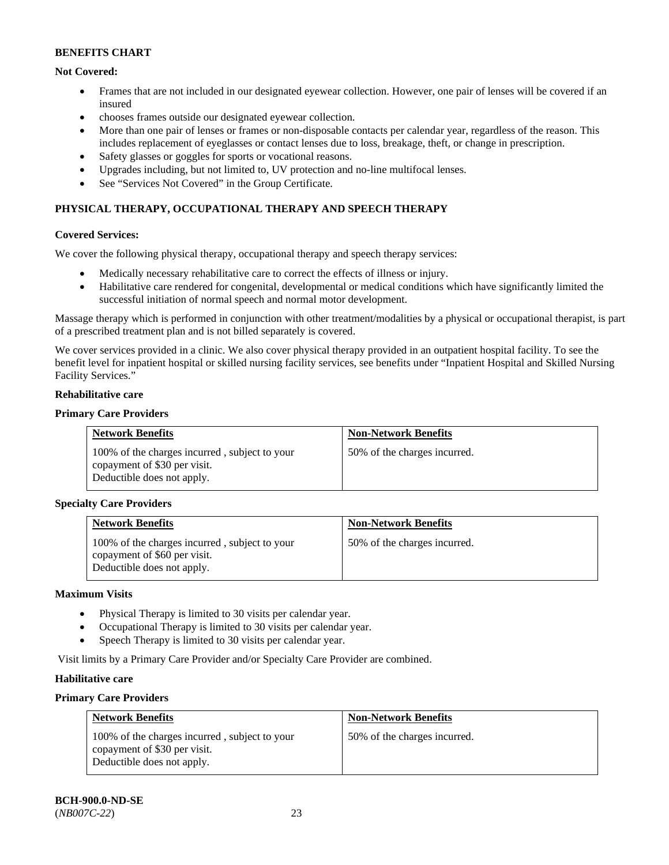## **Not Covered:**

- Frames that are not included in our designated eyewear collection. However, one pair of lenses will be covered if an insured
- chooses frames outside our designated eyewear collection.
- More than one pair of lenses or frames or non-disposable contacts per calendar year, regardless of the reason. This includes replacement of eyeglasses or contact lenses due to loss, breakage, theft, or change in prescription.
- Safety glasses or goggles for sports or vocational reasons.
- Upgrades including, but not limited to, UV protection and no-line multifocal lenses.
- See "Services Not Covered" in the Group Certificate.

## **PHYSICAL THERAPY, OCCUPATIONAL THERAPY AND SPEECH THERAPY**

### **Covered Services:**

We cover the following physical therapy, occupational therapy and speech therapy services:

- Medically necessary rehabilitative care to correct the effects of illness or injury.
- Habilitative care rendered for congenital, developmental or medical conditions which have significantly limited the successful initiation of normal speech and normal motor development.

Massage therapy which is performed in conjunction with other treatment/modalities by a physical or occupational therapist, is part of a prescribed treatment plan and is not billed separately is covered.

We cover services provided in a clinic. We also cover physical therapy provided in an outpatient hospital facility. To see the benefit level for inpatient hospital or skilled nursing facility services, see benefits under "Inpatient Hospital and Skilled Nursing Facility Services."

### **Rehabilitative care**

### **Primary Care Providers**

| <b>Network Benefits</b>                                                                                     | <b>Non-Network Benefits</b>  |
|-------------------------------------------------------------------------------------------------------------|------------------------------|
| 100% of the charges incurred, subject to your<br>copayment of \$30 per visit.<br>Deductible does not apply. | 50% of the charges incurred. |

### **Specialty Care Providers**

| <b>Network Benefits</b>                                                                                     | <b>Non-Network Benefits</b>  |
|-------------------------------------------------------------------------------------------------------------|------------------------------|
| 100% of the charges incurred, subject to your<br>copayment of \$60 per visit.<br>Deductible does not apply. | 50% of the charges incurred. |

#### **Maximum Visits**

- Physical Therapy is limited to 30 visits per calendar year.
- Occupational Therapy is limited to 30 visits per calendar year.
- Speech Therapy is limited to 30 visits per calendar year.

Visit limits by a Primary Care Provider and/or Specialty Care Provider are combined.

### **Habilitative care**

### **Primary Care Providers**

| <b>Network Benefits</b>                                                                                     | <b>Non-Network Benefits</b>  |
|-------------------------------------------------------------------------------------------------------------|------------------------------|
| 100% of the charges incurred, subject to your<br>copayment of \$30 per visit.<br>Deductible does not apply. | 50% of the charges incurred. |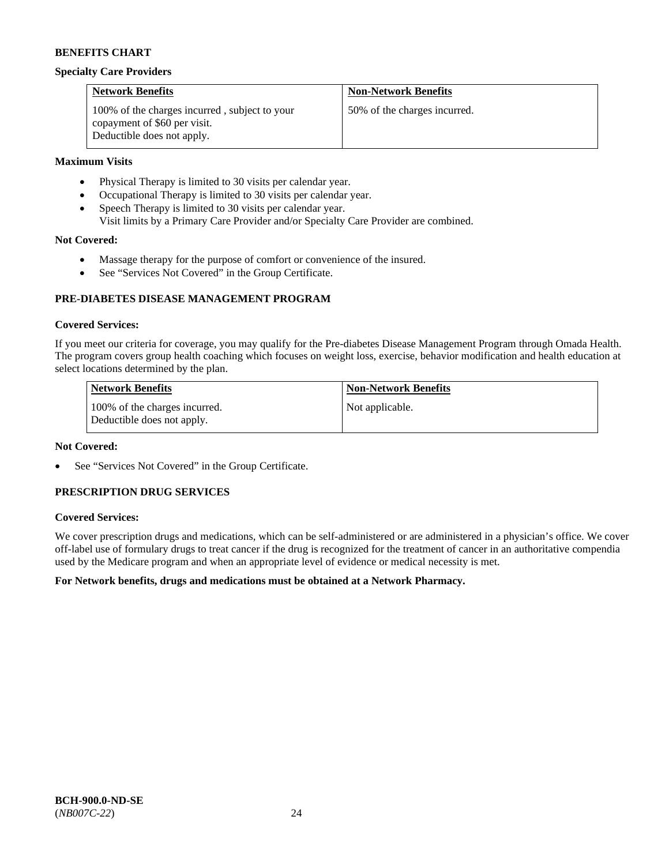#### **Specialty Care Providers**

| <b>Network Benefits</b>                                                                                     | <b>Non-Network Benefits</b>  |
|-------------------------------------------------------------------------------------------------------------|------------------------------|
| 100% of the charges incurred, subject to your<br>copayment of \$60 per visit.<br>Deductible does not apply. | 50% of the charges incurred. |

### **Maximum Visits**

- Physical Therapy is limited to 30 visits per calendar year.
- Occupational Therapy is limited to 30 visits per calendar year.
- Speech Therapy is limited to 30 visits per calendar year.
- Visit limits by a Primary Care Provider and/or Specialty Care Provider are combined.

### **Not Covered:**

- Massage therapy for the purpose of comfort or convenience of the insured.
- See "Services Not Covered" in the Group Certificate.

### **PRE-DIABETES DISEASE MANAGEMENT PROGRAM**

### **Covered Services:**

If you meet our criteria for coverage, you may qualify for the Pre-diabetes Disease Management Program through Omada Health. The program covers group health coaching which focuses on weight loss, exercise, behavior modification and health education at select locations determined by the plan.

| <b>Network Benefits</b>                                     | <b>Non-Network Benefits</b> |
|-------------------------------------------------------------|-----------------------------|
| 100% of the charges incurred.<br>Deductible does not apply. | Not applicable.             |

#### **Not Covered:**

See "Services Not Covered" in the Group Certificate.

### **PRESCRIPTION DRUG SERVICES**

### **Covered Services:**

We cover prescription drugs and medications, which can be self-administered or are administered in a physician's office. We cover off-label use of formulary drugs to treat cancer if the drug is recognized for the treatment of cancer in an authoritative compendia used by the Medicare program and when an appropriate level of evidence or medical necessity is met.

### **For Network benefits, drugs and medications must be obtained at a Network Pharmacy.**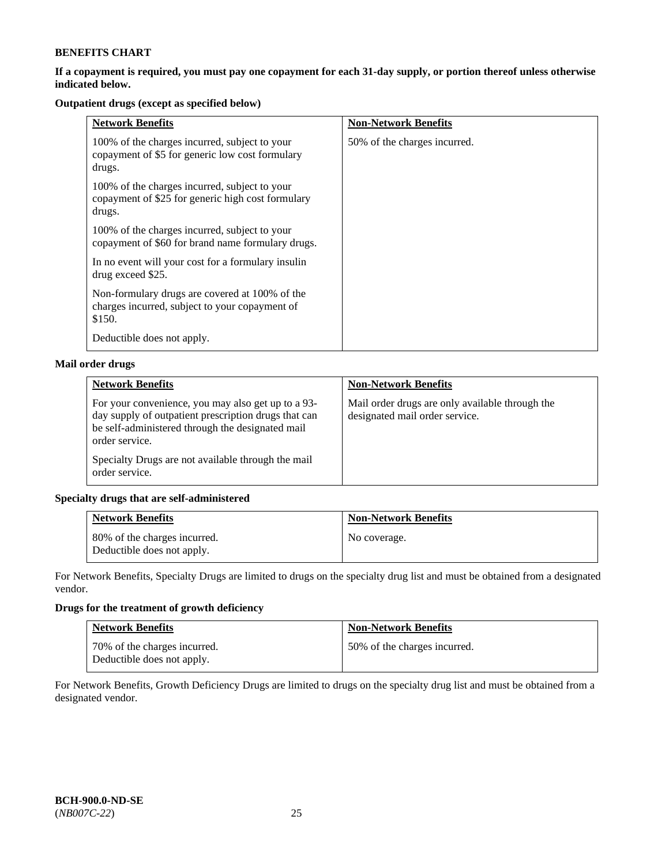### **If a copayment is required, you must pay one copayment for each 31-day supply, or portion thereof unless otherwise indicated below.**

## **Outpatient drugs (except as specified below)**

| <b>Network Benefits</b>                                                                                      | <b>Non-Network Benefits</b>  |
|--------------------------------------------------------------------------------------------------------------|------------------------------|
| 100% of the charges incurred, subject to your<br>copayment of \$5 for generic low cost formulary<br>drugs.   | 50% of the charges incurred. |
| 100% of the charges incurred, subject to your<br>copayment of \$25 for generic high cost formulary<br>drugs. |                              |
| 100% of the charges incurred, subject to your<br>copayment of \$60 for brand name formulary drugs.           |                              |
| In no event will your cost for a formulary insulin<br>drug exceed \$25.                                      |                              |
| Non-formulary drugs are covered at 100% of the<br>charges incurred, subject to your copayment of<br>\$150.   |                              |
| Deductible does not apply.                                                                                   |                              |

## **Mail order drugs**

| <b>Network Benefits</b>                                                                                                                                                          | <b>Non-Network Benefits</b>                                                       |
|----------------------------------------------------------------------------------------------------------------------------------------------------------------------------------|-----------------------------------------------------------------------------------|
| For your convenience, you may also get up to a 93-<br>day supply of outpatient prescription drugs that can<br>be self-administered through the designated mail<br>order service. | Mail order drugs are only available through the<br>designated mail order service. |
| Specialty Drugs are not available through the mail<br>order service.                                                                                                             |                                                                                   |

### **Specialty drugs that are self-administered**

| <b>Network Benefits</b>                                    | <b>Non-Network Benefits</b> |
|------------------------------------------------------------|-----------------------------|
| 80% of the charges incurred.<br>Deductible does not apply. | No coverage.                |

For Network Benefits, Specialty Drugs are limited to drugs on the specialty drug list and must be obtained from a designated vendor.

## **Drugs for the treatment of growth deficiency**

| <b>Network Benefits</b>                                    | <b>Non-Network Benefits</b>  |
|------------------------------------------------------------|------------------------------|
| 70% of the charges incurred.<br>Deductible does not apply. | 50% of the charges incurred. |

For Network Benefits, Growth Deficiency Drugs are limited to drugs on the specialty drug list and must be obtained from a designated vendor.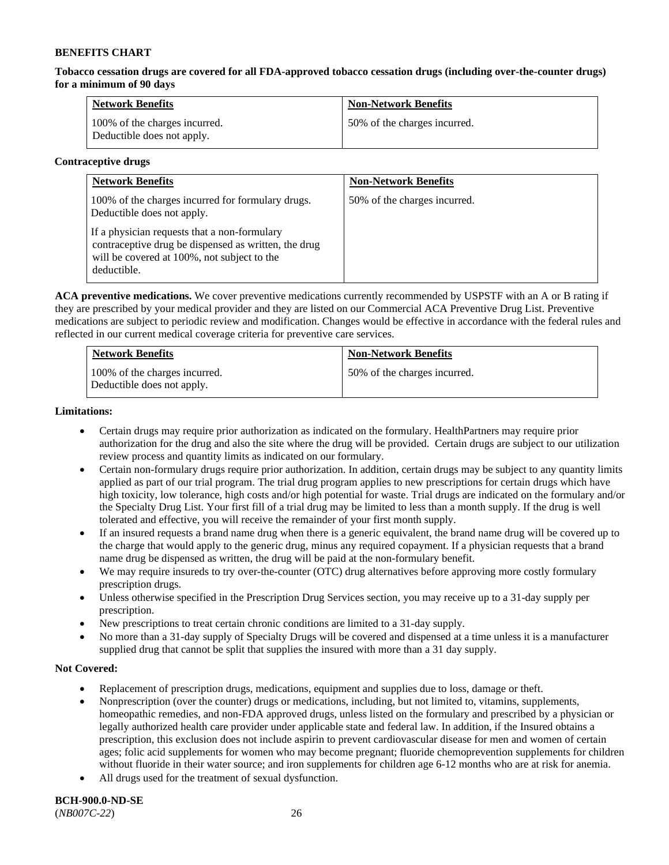**Tobacco cessation drugs are covered for all FDA-approved tobacco cessation drugs (including over-the-counter drugs) for a minimum of 90 days**

| <b>Network Benefits</b>                                     | <b>Non-Network Benefits</b>  |
|-------------------------------------------------------------|------------------------------|
| 100% of the charges incurred.<br>Deductible does not apply. | 50% of the charges incurred. |

### **Contraceptive drugs**

| <b>Network Benefits</b>                                                                                                                                            | <b>Non-Network Benefits</b>  |
|--------------------------------------------------------------------------------------------------------------------------------------------------------------------|------------------------------|
| 100% of the charges incurred for formulary drugs.<br>Deductible does not apply.                                                                                    | 50% of the charges incurred. |
| If a physician requests that a non-formulary<br>contraceptive drug be dispensed as written, the drug<br>will be covered at 100%, not subject to the<br>deductible. |                              |

**ACA preventive medications.** We cover preventive medications currently recommended by USPSTF with an A or B rating if they are prescribed by your medical provider and they are listed on our Commercial ACA Preventive Drug List. Preventive medications are subject to periodic review and modification. Changes would be effective in accordance with the federal rules and reflected in our current medical coverage criteria for preventive care services.

| <b>Network Benefits</b>                                     | <b>Non-Network Benefits</b>  |
|-------------------------------------------------------------|------------------------------|
| 100% of the charges incurred.<br>Deductible does not apply. | 50% of the charges incurred. |

### **Limitations:**

- Certain drugs may require prior authorization as indicated on the formulary. HealthPartners may require prior authorization for the drug and also the site where the drug will be provided. Certain drugs are subject to our utilization review process and quantity limits as indicated on our formulary.
- Certain non-formulary drugs require prior authorization. In addition, certain drugs may be subject to any quantity limits applied as part of our trial program. The trial drug program applies to new prescriptions for certain drugs which have high toxicity, low tolerance, high costs and/or high potential for waste. Trial drugs are indicated on the formulary and/or the Specialty Drug List. Your first fill of a trial drug may be limited to less than a month supply. If the drug is well tolerated and effective, you will receive the remainder of your first month supply.
- If an insured requests a brand name drug when there is a generic equivalent, the brand name drug will be covered up to the charge that would apply to the generic drug, minus any required copayment. If a physician requests that a brand name drug be dispensed as written, the drug will be paid at the non-formulary benefit.
- We may require insureds to try over-the-counter (OTC) drug alternatives before approving more costly formulary prescription drugs.
- Unless otherwise specified in the Prescription Drug Services section, you may receive up to a 31-day supply per prescription.
- New prescriptions to treat certain chronic conditions are limited to a 31-day supply.
- No more than a 31-day supply of Specialty Drugs will be covered and dispensed at a time unless it is a manufacturer supplied drug that cannot be split that supplies the insured with more than a 31 day supply.

### **Not Covered:**

- Replacement of prescription drugs, medications, equipment and supplies due to loss, damage or theft.
- Nonprescription (over the counter) drugs or medications, including, but not limited to, vitamins, supplements, homeopathic remedies, and non-FDA approved drugs, unless listed on the formulary and prescribed by a physician or legally authorized health care provider under applicable state and federal law. In addition, if the Insured obtains a prescription, this exclusion does not include aspirin to prevent cardiovascular disease for men and women of certain ages; folic acid supplements for women who may become pregnant; fluoride chemoprevention supplements for children without fluoride in their water source; and iron supplements for children age 6-12 months who are at risk for anemia.
- All drugs used for the treatment of sexual dysfunction.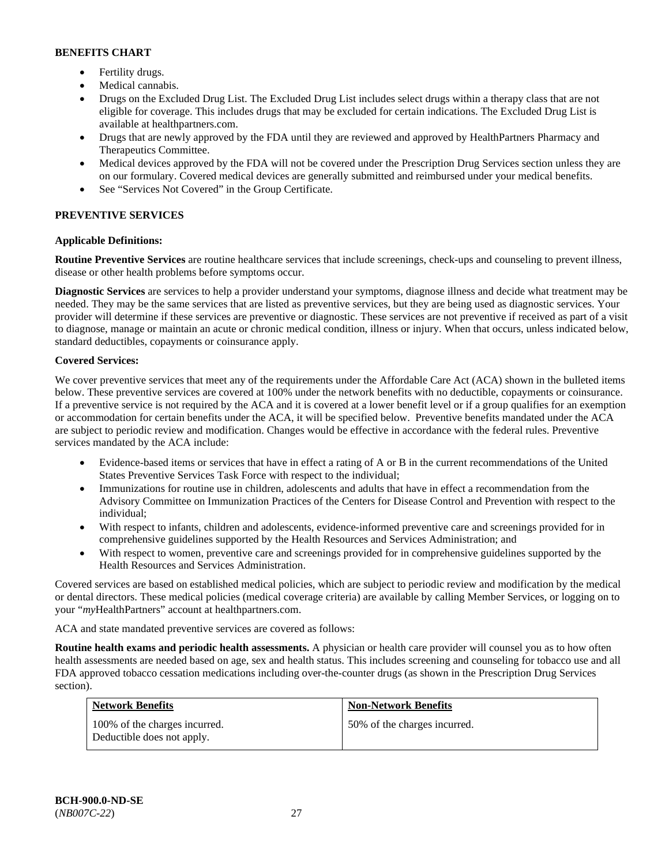- Fertility drugs.
- Medical cannabis.
- Drugs on the Excluded Drug List. The Excluded Drug List includes select drugs within a therapy class that are not eligible for coverage. This includes drugs that may be excluded for certain indications. The Excluded Drug List is available at [healthpartners.com.](http://www.healthpartners.com/)
- Drugs that are newly approved by the FDA until they are reviewed and approved by HealthPartners Pharmacy and Therapeutics Committee.
- Medical devices approved by the FDA will not be covered under the Prescription Drug Services section unless they are on our formulary. Covered medical devices are generally submitted and reimbursed under your medical benefits.
- See "Services Not Covered" in the Group Certificate.

## **PREVENTIVE SERVICES**

## **Applicable Definitions:**

**Routine Preventive Services** are routine healthcare services that include screenings, check-ups and counseling to prevent illness, disease or other health problems before symptoms occur.

**Diagnostic Services** are services to help a provider understand your symptoms, diagnose illness and decide what treatment may be needed. They may be the same services that are listed as preventive services, but they are being used as diagnostic services. Your provider will determine if these services are preventive or diagnostic. These services are not preventive if received as part of a visit to diagnose, manage or maintain an acute or chronic medical condition, illness or injury. When that occurs, unless indicated below, standard deductibles, copayments or coinsurance apply.

### **Covered Services:**

We cover preventive services that meet any of the requirements under the Affordable Care Act (ACA) shown in the bulleted items below. These preventive services are covered at 100% under the network benefits with no deductible, copayments or coinsurance. If a preventive service is not required by the ACA and it is covered at a lower benefit level or if a group qualifies for an exemption or accommodation for certain benefits under the ACA, it will be specified below. Preventive benefits mandated under the ACA are subject to periodic review and modification. Changes would be effective in accordance with the federal rules. Preventive services mandated by the ACA include:

- Evidence-based items or services that have in effect a rating of A or B in the current recommendations of the United States Preventive Services Task Force with respect to the individual;
- Immunizations for routine use in children, adolescents and adults that have in effect a recommendation from the Advisory Committee on Immunization Practices of the Centers for Disease Control and Prevention with respect to the individual;
- With respect to infants, children and adolescents, evidence-informed preventive care and screenings provided for in comprehensive guidelines supported by the Health Resources and Services Administration; and
- With respect to women, preventive care and screenings provided for in comprehensive guidelines supported by the Health Resources and Services Administration.

Covered services are based on established medical policies, which are subject to periodic review and modification by the medical or dental directors. These medical policies (medical coverage criteria) are available by calling Member Services, or logging on to your "*my*HealthPartners" account at [healthpartners.com.](http://www.healthpartners.com/) 

ACA and state mandated preventive services are covered as follows:

**Routine health exams and periodic health assessments.** A physician or health care provider will counsel you as to how often health assessments are needed based on age, sex and health status. This includes screening and counseling for tobacco use and all FDA approved tobacco cessation medications including over-the-counter drugs (as shown in the Prescription Drug Services section).

| <b>Network Benefits</b>                                     | <b>Non-Network Benefits</b>  |
|-------------------------------------------------------------|------------------------------|
| 100% of the charges incurred.<br>Deductible does not apply. | 50% of the charges incurred. |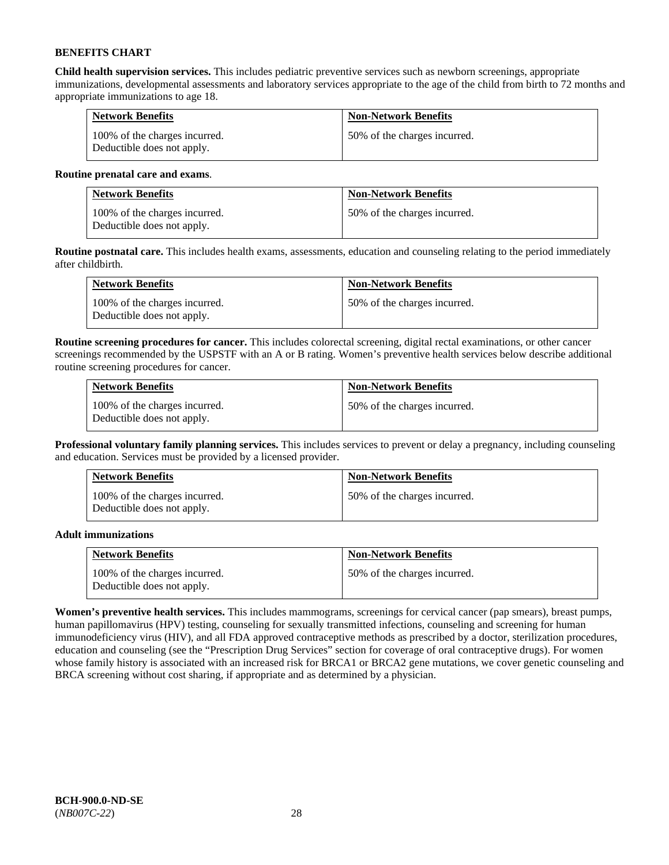**Child health supervision services.** This includes pediatric preventive services such as newborn screenings, appropriate immunizations, developmental assessments and laboratory services appropriate to the age of the child from birth to 72 months and appropriate immunizations to age 18.

| <b>Network Benefits</b>                                     | <b>Non-Network Benefits</b>  |
|-------------------------------------------------------------|------------------------------|
| 100% of the charges incurred.<br>Deductible does not apply. | 50% of the charges incurred. |

### **Routine prenatal care and exams**.

| <b>Network Benefits</b>                                     | <b>Non-Network Benefits</b>  |
|-------------------------------------------------------------|------------------------------|
| 100% of the charges incurred.<br>Deductible does not apply. | 50% of the charges incurred. |

**Routine postnatal care.** This includes health exams, assessments, education and counseling relating to the period immediately after childbirth.

| <b>Network Benefits</b>                                     | <b>Non-Network Benefits</b>  |
|-------------------------------------------------------------|------------------------------|
| 100% of the charges incurred.<br>Deductible does not apply. | 50% of the charges incurred. |

**Routine screening procedures for cancer.** This includes colorectal screening, digital rectal examinations, or other cancer screenings recommended by the USPSTF with an A or B rating. Women's preventive health services below describe additional routine screening procedures for cancer.

| <b>Network Benefits</b>                                     | <b>Non-Network Benefits</b>  |
|-------------------------------------------------------------|------------------------------|
| 100% of the charges incurred.<br>Deductible does not apply. | 50% of the charges incurred. |

**Professional voluntary family planning services.** This includes services to prevent or delay a pregnancy, including counseling and education. Services must be provided by a licensed provider.

| <b>Network Benefits</b>                                     | <b>Non-Network Benefits</b>  |
|-------------------------------------------------------------|------------------------------|
| 100% of the charges incurred.<br>Deductible does not apply. | 50% of the charges incurred. |

### **Adult immunizations**

| <b>Network Benefits</b>                                     | <b>Non-Network Benefits</b>  |
|-------------------------------------------------------------|------------------------------|
| 100% of the charges incurred.<br>Deductible does not apply. | 50% of the charges incurred. |

**Women's preventive health services.** This includes mammograms, screenings for cervical cancer (pap smears), breast pumps, human papillomavirus (HPV) testing, counseling for sexually transmitted infections, counseling and screening for human immunodeficiency virus (HIV), and all FDA approved contraceptive methods as prescribed by a doctor, sterilization procedures, education and counseling (see the "Prescription Drug Services" section for coverage of oral contraceptive drugs). For women whose family history is associated with an increased risk for BRCA1 or BRCA2 gene mutations, we cover genetic counseling and BRCA screening without cost sharing, if appropriate and as determined by a physician.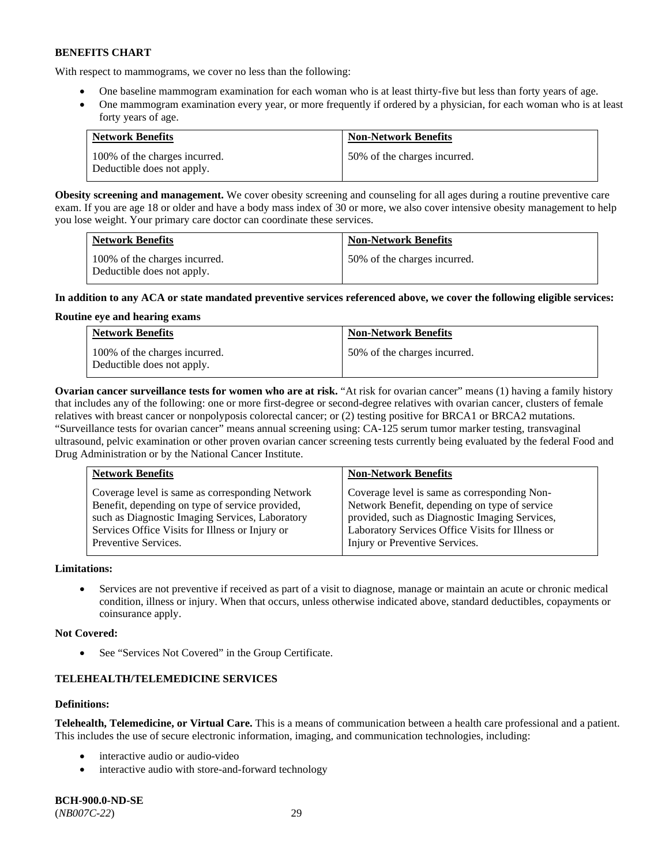With respect to mammograms, we cover no less than the following:

- One baseline mammogram examination for each woman who is at least thirty-five but less than forty years of age.
- One mammogram examination every year, or more frequently if ordered by a physician, for each woman who is at least forty years of age.

| <b>Network Benefits</b>                                     | <b>Non-Network Benefits</b>  |
|-------------------------------------------------------------|------------------------------|
| 100% of the charges incurred.<br>Deductible does not apply. | 50% of the charges incurred. |

**Obesity screening and management.** We cover obesity screening and counseling for all ages during a routine preventive care exam. If you are age 18 or older and have a body mass index of 30 or more, we also cover intensive obesity management to help you lose weight. Your primary care doctor can coordinate these services.

| <b>Network Benefits</b>                                     | <b>Non-Network Benefits</b>  |
|-------------------------------------------------------------|------------------------------|
| 100% of the charges incurred.<br>Deductible does not apply. | 50% of the charges incurred. |

### **In addition to any ACA or state mandated preventive services referenced above, we cover the following eligible services:**

### **Routine eye and hearing exams**

| <b>Network Benefits</b>                                     | <b>Non-Network Benefits</b>  |
|-------------------------------------------------------------|------------------------------|
| 100% of the charges incurred.<br>Deductible does not apply. | 50% of the charges incurred. |

**Ovarian cancer surveillance tests for women who are at risk.** "At risk for ovarian cancer" means (1) having a family history that includes any of the following: one or more first-degree or second-degree relatives with ovarian cancer, clusters of female relatives with breast cancer or nonpolyposis colorectal cancer; or (2) testing positive for BRCA1 or BRCA2 mutations. "Surveillance tests for ovarian cancer" means annual screening using: CA-125 serum tumor marker testing, transvaginal ultrasound, pelvic examination or other proven ovarian cancer screening tests currently being evaluated by the federal Food and Drug Administration or by the National Cancer Institute.

| <b>Network Benefits</b>                         | <b>Non-Network Benefits</b>                      |
|-------------------------------------------------|--------------------------------------------------|
| Coverage level is same as corresponding Network | Coverage level is same as corresponding Non-     |
| Benefit, depending on type of service provided, | Network Benefit, depending on type of service    |
| such as Diagnostic Imaging Services, Laboratory | provided, such as Diagnostic Imaging Services,   |
| Services Office Visits for Illness or Injury or | Laboratory Services Office Visits for Illness or |
| Preventive Services.                            | Injury or Preventive Services.                   |

### **Limitations:**

• Services are not preventive if received as part of a visit to diagnose, manage or maintain an acute or chronic medical condition, illness or injury. When that occurs, unless otherwise indicated above, standard deductibles, copayments or coinsurance apply.

### **Not Covered:**

See "Services Not Covered" in the Group Certificate.

## **TELEHEALTH/TELEMEDICINE SERVICES**

### **Definitions:**

**Telehealth, Telemedicine, or Virtual Care.** This is a means of communication between a health care professional and a patient. This includes the use of secure electronic information, imaging, and communication technologies, including:

- interactive audio or audio-video
- interactive audio with store-and-forward technology

**BCH-900.0-ND-SE** (*NB007C-22*) 29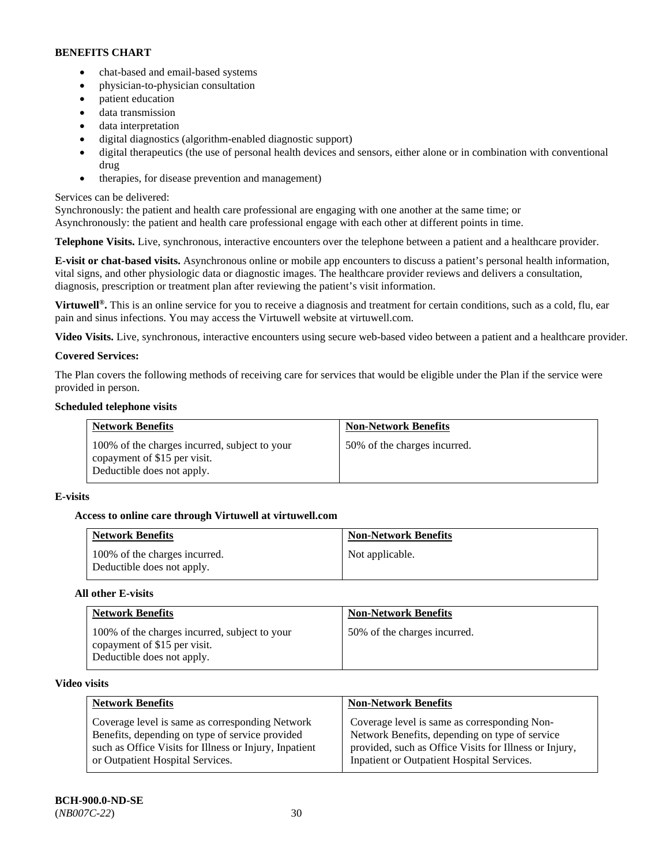- chat-based and email-based systems
- physician-to-physician consultation
- patient education
- data transmission
- data interpretation
- digital diagnostics (algorithm-enabled diagnostic support)
- digital therapeutics (the use of personal health devices and sensors, either alone or in combination with conventional drug
- therapies, for disease prevention and management)

## Services can be delivered:

Synchronously: the patient and health care professional are engaging with one another at the same time; or Asynchronously: the patient and health care professional engage with each other at different points in time.

**Telephone Visits.** Live, synchronous, interactive encounters over the telephone between a patient and a healthcare provider.

**E-visit or chat-based visits.** Asynchronous online or mobile app encounters to discuss a patient's personal health information, vital signs, and other physiologic data or diagnostic images. The healthcare provider reviews and delivers a consultation, diagnosis, prescription or treatment plan after reviewing the patient's visit information.

**Virtuwell<sup>®</sup>.** This is an online service for you to receive a diagnosis and treatment for certain conditions, such as a cold, flu, ear pain and sinus infections. You may access the Virtuwell website at [virtuwell.com.](https://www.virtuwell.com/)

**Video Visits.** Live, synchronous, interactive encounters using secure web-based video between a patient and a healthcare provider.

## **Covered Services:**

The Plan covers the following methods of receiving care for services that would be eligible under the Plan if the service were provided in person.

## **Scheduled telephone visits**

| <b>Network Benefits</b>                                                                                     | <b>Non-Network Benefits</b>  |
|-------------------------------------------------------------------------------------------------------------|------------------------------|
| 100% of the charges incurred, subject to your<br>copayment of \$15 per visit.<br>Deductible does not apply. | 50% of the charges incurred. |

## **E-visits**

## **Access to online care through Virtuwell at [virtuwell.com](https://www.virtuwell.com/)**

| <b>Network Benefits</b>                                     | <b>Non-Network Benefits</b> |
|-------------------------------------------------------------|-----------------------------|
| 100% of the charges incurred.<br>Deductible does not apply. | Not applicable.             |

### **All other E-visits**

| <b>Network Benefits</b>                                                                                     | <b>Non-Network Benefits</b>  |
|-------------------------------------------------------------------------------------------------------------|------------------------------|
| 100% of the charges incurred, subject to your<br>copayment of \$15 per visit.<br>Deductible does not apply. | 50% of the charges incurred. |

### **Video visits**

| <b>Network Benefits</b>                                | <b>Non-Network Benefits</b>                            |
|--------------------------------------------------------|--------------------------------------------------------|
| Coverage level is same as corresponding Network        | Coverage level is same as corresponding Non-           |
| Benefits, depending on type of service provided        | Network Benefits, depending on type of service         |
| such as Office Visits for Illness or Injury, Inpatient | provided, such as Office Visits for Illness or Injury, |
| or Outpatient Hospital Services.                       | Inpatient or Outpatient Hospital Services.             |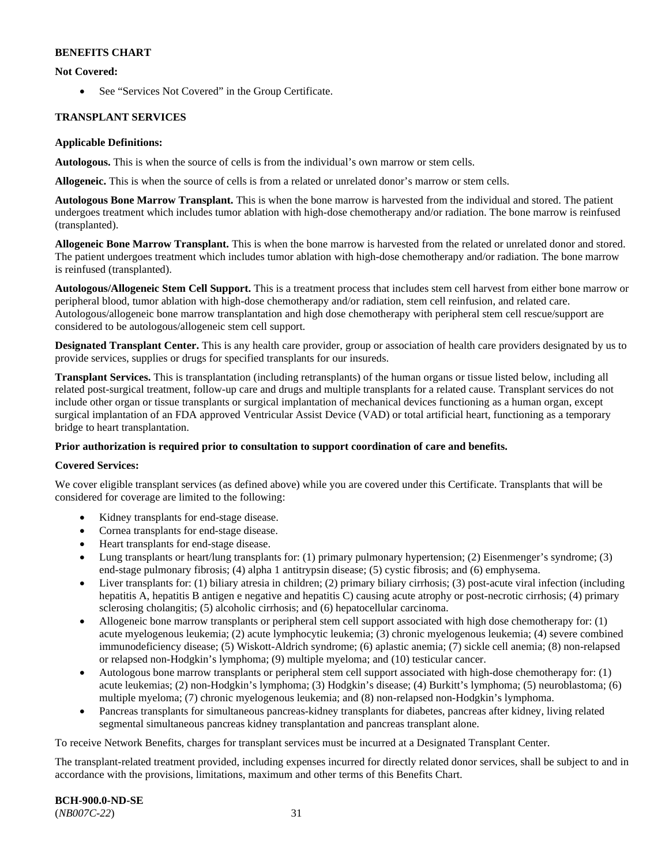### **Not Covered:**

• See "Services Not Covered" in the Group Certificate.

### **TRANSPLANT SERVICES**

#### **Applicable Definitions:**

**Autologous.** This is when the source of cells is from the individual's own marrow or stem cells.

**Allogeneic.** This is when the source of cells is from a related or unrelated donor's marrow or stem cells.

**Autologous Bone Marrow Transplant.** This is when the bone marrow is harvested from the individual and stored. The patient undergoes treatment which includes tumor ablation with high-dose chemotherapy and/or radiation. The bone marrow is reinfused (transplanted).

**Allogeneic Bone Marrow Transplant.** This is when the bone marrow is harvested from the related or unrelated donor and stored. The patient undergoes treatment which includes tumor ablation with high-dose chemotherapy and/or radiation. The bone marrow is reinfused (transplanted).

**Autologous/Allogeneic Stem Cell Support.** This is a treatment process that includes stem cell harvest from either bone marrow or peripheral blood, tumor ablation with high-dose chemotherapy and/or radiation, stem cell reinfusion, and related care. Autologous/allogeneic bone marrow transplantation and high dose chemotherapy with peripheral stem cell rescue/support are considered to be autologous/allogeneic stem cell support.

**Designated Transplant Center.** This is any health care provider, group or association of health care providers designated by us to provide services, supplies or drugs for specified transplants for our insureds.

**Transplant Services.** This is transplantation (including retransplants) of the human organs or tissue listed below, including all related post-surgical treatment, follow-up care and drugs and multiple transplants for a related cause. Transplant services do not include other organ or tissue transplants or surgical implantation of mechanical devices functioning as a human organ, except surgical implantation of an FDA approved Ventricular Assist Device (VAD) or total artificial heart, functioning as a temporary bridge to heart transplantation.

### **Prior authorization is required prior to consultation to support coordination of care and benefits.**

### **Covered Services:**

We cover eligible transplant services (as defined above) while you are covered under this Certificate. Transplants that will be considered for coverage are limited to the following:

- Kidney transplants for end-stage disease.
- Cornea transplants for end-stage disease.
- Heart transplants for end-stage disease.
- Lung transplants or heart/lung transplants for: (1) primary pulmonary hypertension; (2) Eisenmenger's syndrome; (3) end-stage pulmonary fibrosis; (4) alpha 1 antitrypsin disease; (5) cystic fibrosis; and (6) emphysema.
- Liver transplants for: (1) biliary atresia in children; (2) primary biliary cirrhosis; (3) post-acute viral infection (including hepatitis A, hepatitis B antigen e negative and hepatitis C) causing acute atrophy or post-necrotic cirrhosis; (4) primary sclerosing cholangitis; (5) alcoholic cirrhosis; and (6) hepatocellular carcinoma.
- Allogeneic bone marrow transplants or peripheral stem cell support associated with high dose chemotherapy for: (1) acute myelogenous leukemia; (2) acute lymphocytic leukemia; (3) chronic myelogenous leukemia; (4) severe combined immunodeficiency disease; (5) Wiskott-Aldrich syndrome; (6) aplastic anemia; (7) sickle cell anemia; (8) non-relapsed or relapsed non-Hodgkin's lymphoma; (9) multiple myeloma; and (10) testicular cancer.
- Autologous bone marrow transplants or peripheral stem cell support associated with high-dose chemotherapy for: (1) acute leukemias; (2) non-Hodgkin's lymphoma; (3) Hodgkin's disease; (4) Burkitt's lymphoma; (5) neuroblastoma; (6) multiple myeloma; (7) chronic myelogenous leukemia; and (8) non-relapsed non-Hodgkin's lymphoma.
- Pancreas transplants for simultaneous pancreas-kidney transplants for diabetes, pancreas after kidney, living related segmental simultaneous pancreas kidney transplantation and pancreas transplant alone.

To receive Network Benefits, charges for transplant services must be incurred at a Designated Transplant Center.

The transplant-related treatment provided, including expenses incurred for directly related donor services, shall be subject to and in accordance with the provisions, limitations, maximum and other terms of this Benefits Chart.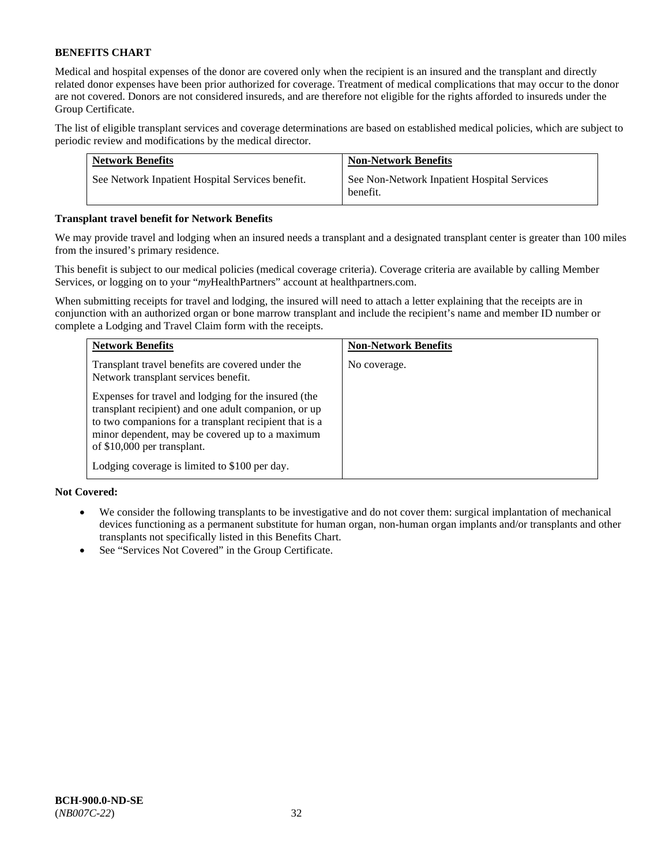Medical and hospital expenses of the donor are covered only when the recipient is an insured and the transplant and directly related donor expenses have been prior authorized for coverage. Treatment of medical complications that may occur to the donor are not covered. Donors are not considered insureds, and are therefore not eligible for the rights afforded to insureds under the Group Certificate.

The list of eligible transplant services and coverage determinations are based on established medical policies, which are subject to periodic review and modifications by the medical director.

| <b>Network Benefits</b>                          | <b>Non-Network Benefits</b>                             |
|--------------------------------------------------|---------------------------------------------------------|
| See Network Inpatient Hospital Services benefit. | See Non-Network Inpatient Hospital Services<br>benefit. |

### **Transplant travel benefit for Network Benefits**

We may provide travel and lodging when an insured needs a transplant and a designated transplant center is greater than 100 miles from the insured's primary residence.

This benefit is subject to our medical policies (medical coverage criteria). Coverage criteria are available by calling Member Services, or logging on to your "*my*HealthPartners" account a[t healthpartners.com.](http://healthpartners.com/)

When submitting receipts for travel and lodging, the insured will need to attach a letter explaining that the receipts are in conjunction with an authorized organ or bone marrow transplant and include the recipient's name and member ID number or complete a Lodging and Travel Claim form with the receipts.

| <b>Network Benefits</b>                                                                                                                                                                                                                                  | <b>Non-Network Benefits</b> |
|----------------------------------------------------------------------------------------------------------------------------------------------------------------------------------------------------------------------------------------------------------|-----------------------------|
| Transplant travel benefits are covered under the<br>Network transplant services benefit.                                                                                                                                                                 | No coverage.                |
| Expenses for travel and lodging for the insured (the<br>transplant recipient) and one adult companion, or up<br>to two companions for a transplant recipient that is a<br>minor dependent, may be covered up to a maximum<br>of \$10,000 per transplant. |                             |
| Lodging coverage is limited to \$100 per day.                                                                                                                                                                                                            |                             |

### **Not Covered:**

- We consider the following transplants to be investigative and do not cover them: surgical implantation of mechanical devices functioning as a permanent substitute for human organ, non-human organ implants and/or transplants and other transplants not specifically listed in this Benefits Chart.
- See "Services Not Covered" in the Group Certificate.